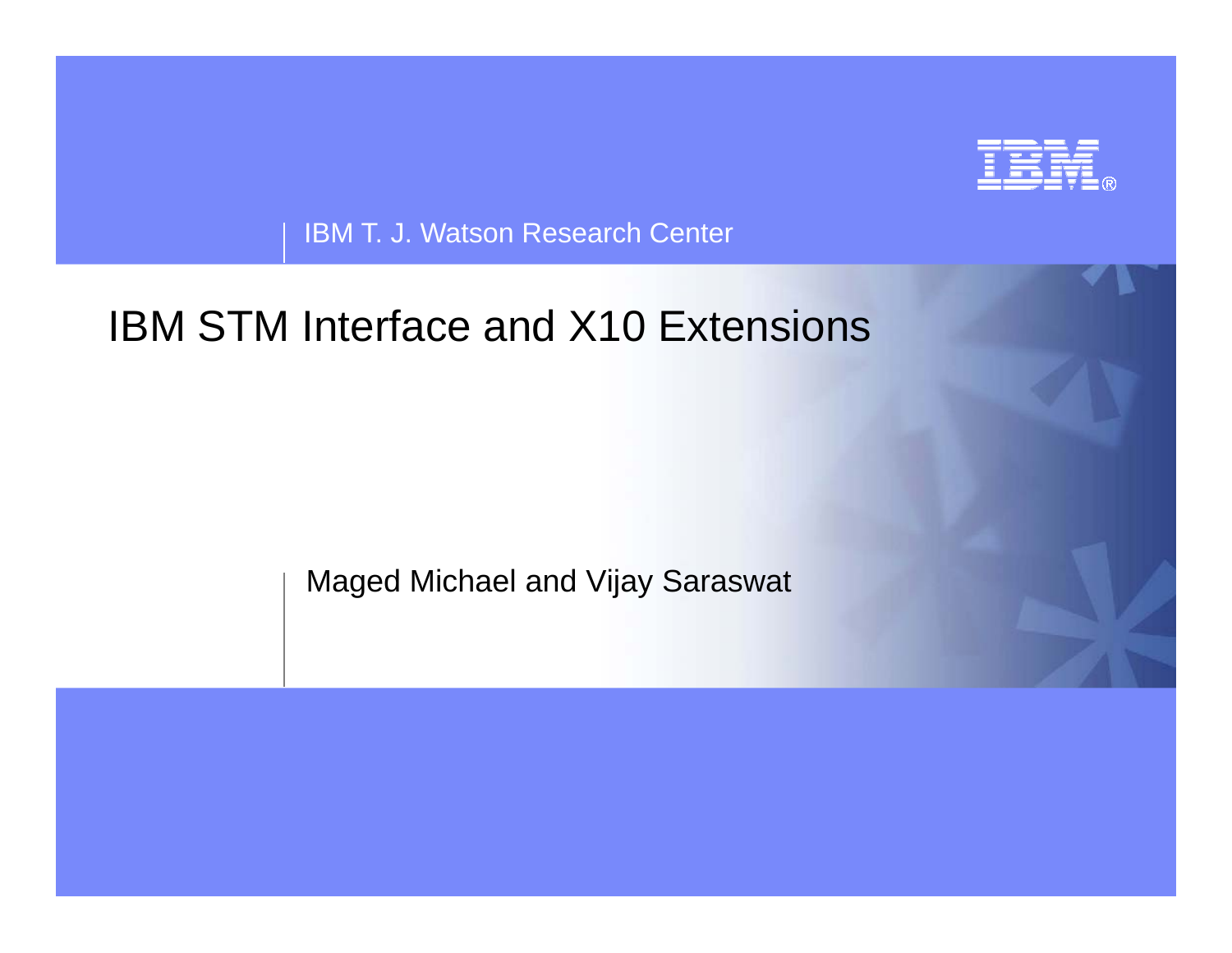

IBM T. J. Watson Research Center

# IBM STM Interface and X10 Extensions

Maged Michael and Vijay Saraswat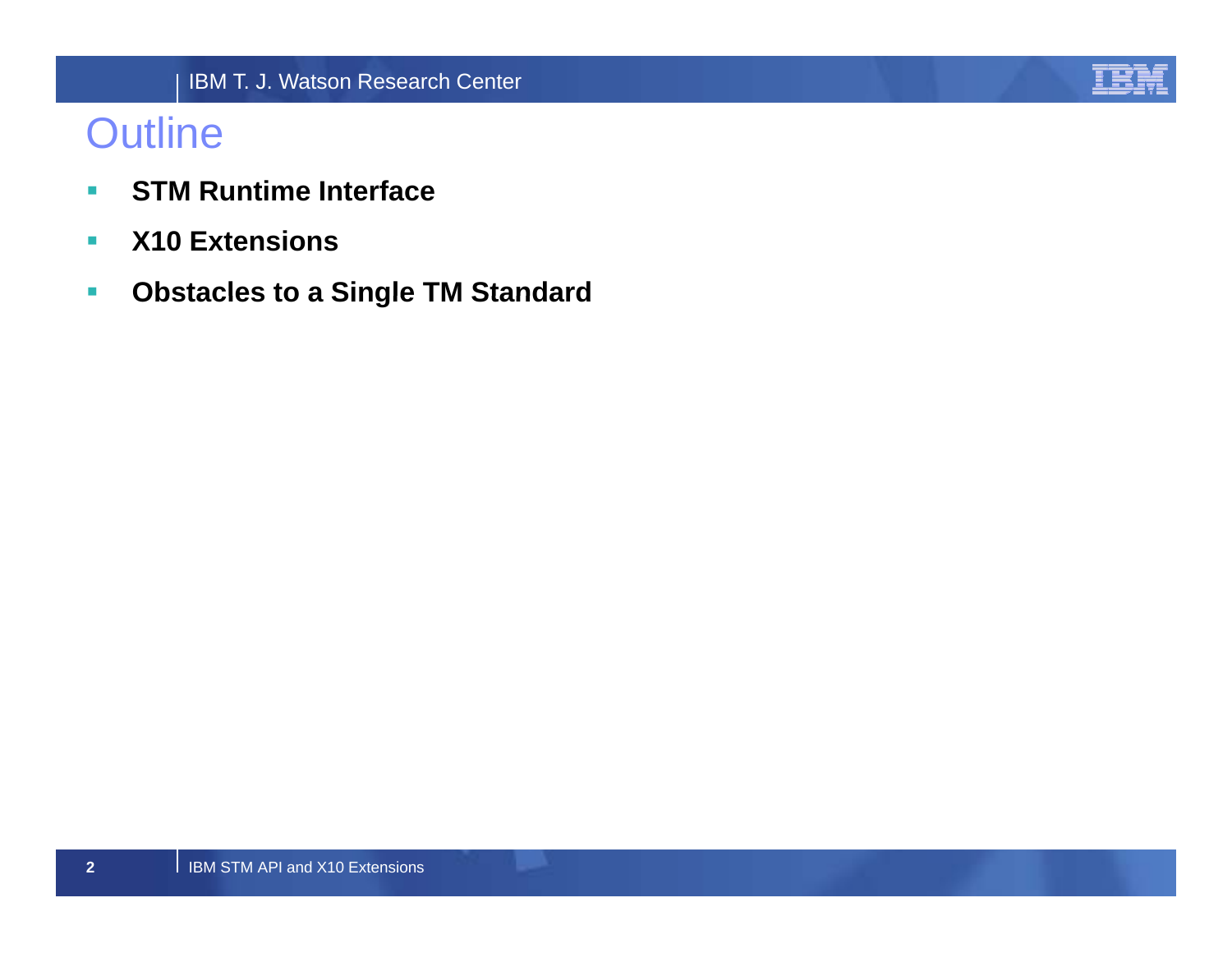

## **Outline**

- $\mathcal{L}$ **STM Runtime Interface**
- $\overline{\mathcal{M}}$ **X10 Extensions**
- $\mathcal{L}$ **Obstacles to <sup>a</sup> Single TM Standard Standard**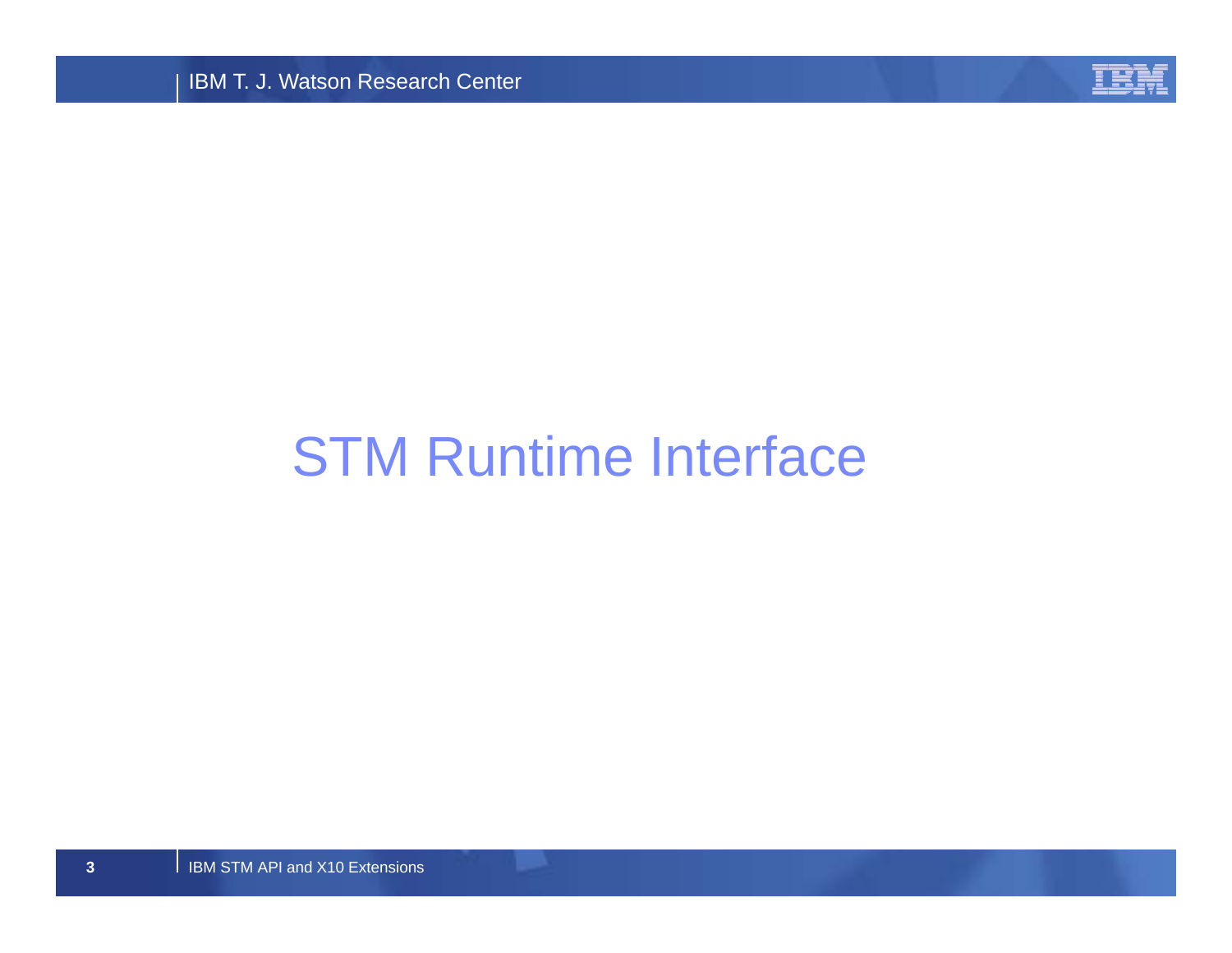**IBM T. J. Watson Research Center** 



# STM Runtime Interface

**I IBM STM API and X10 Extensions**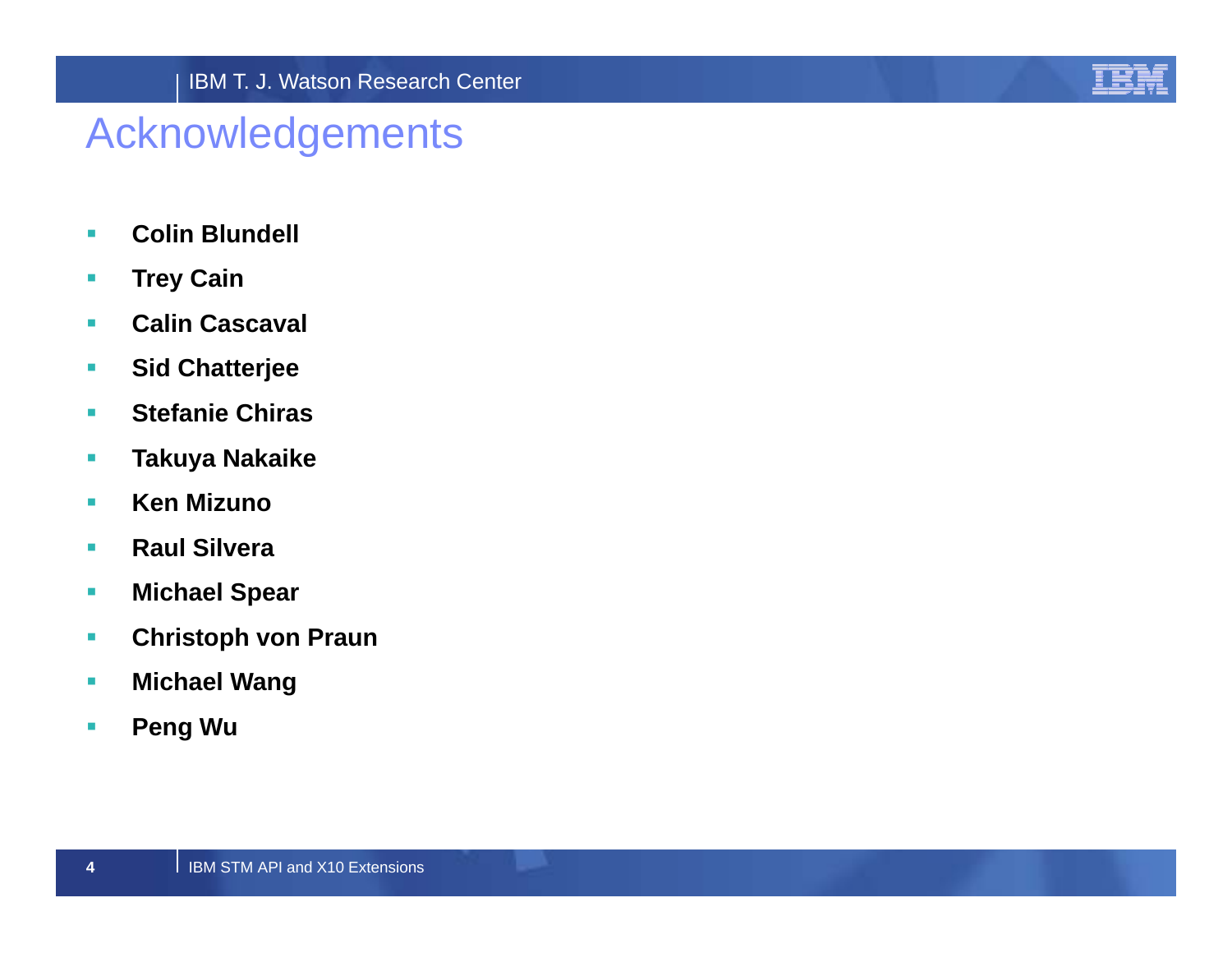

## Acknowledgements

- $\mathcal{L}_{\mathcal{A}}$ **Colin Blundell**
- $\mathcal{L}_{\mathcal{A}}$ **Trey Cain**
- $\mathcal{L}_{\mathcal{A}}$ **Calin Cascaval**
- $\mathcal{L}_{\mathcal{A}}$ **Sid Chatterjee**
- $\mathcal{L}_{\mathcal{A}}$  **Stefanie Chiras**
- $\mathcal{L}_{\mathcal{A}}$ **Takuya Nakaike**
- $\overline{\phantom{a}}$ **Ken Mizuno**
- $\mathcal{L}_{\mathcal{A}}$ **Raul Silvera**
- $\mathcal{L}_{\mathcal{A}}$ **Michael Spear**
- $\mathcal{L}_{\mathcal{A}}$ **Christoph von Praun**
- $\mathcal{L}_{\mathcal{A}}$ **Michael Wang**
- $\overline{\phantom{a}}$ **Peng Wu**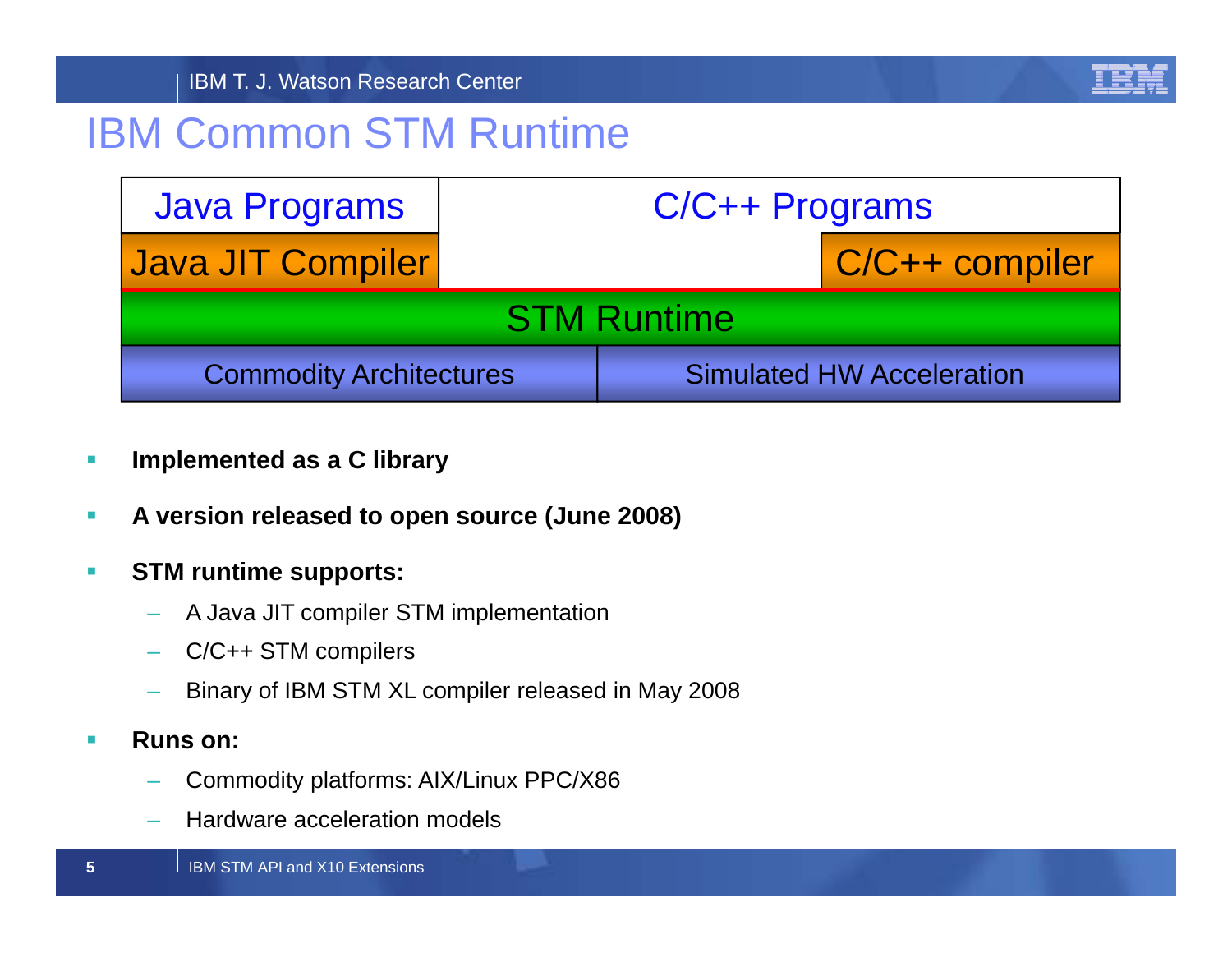

## IBM Common STM Runtime

| <b>Java Programs</b>           | C/C++ Programs |  |                                  |  |
|--------------------------------|----------------|--|----------------------------------|--|
| Java JIT Compiler              |                |  | C/C++ compiler                   |  |
| <b>STM Runtime</b>             |                |  |                                  |  |
| <b>Commodity Architectures</b> |                |  | <b>Simulated HW Acceleration</b> |  |

- $\mathcal{C}$ **Implemented as a C library**
- $\mathcal{L}_{\mathcal{A}}$ **A version released to open source (June 2008)**
- $\mathcal{L}_{\mathcal{A}}$  **STM runtime supports:**
	- A Java JIT compiler STM implementation
	- C/C++ STM compilers
	- Binary of IBM STM XL compiler released in May 2008
- $\blacksquare$  **Runs on:**
	- Commodity platforms: AIX/Linux PPC/X86 Commodity platforms: AIX/Linux PPC/X86–
	- Hardware acceleration models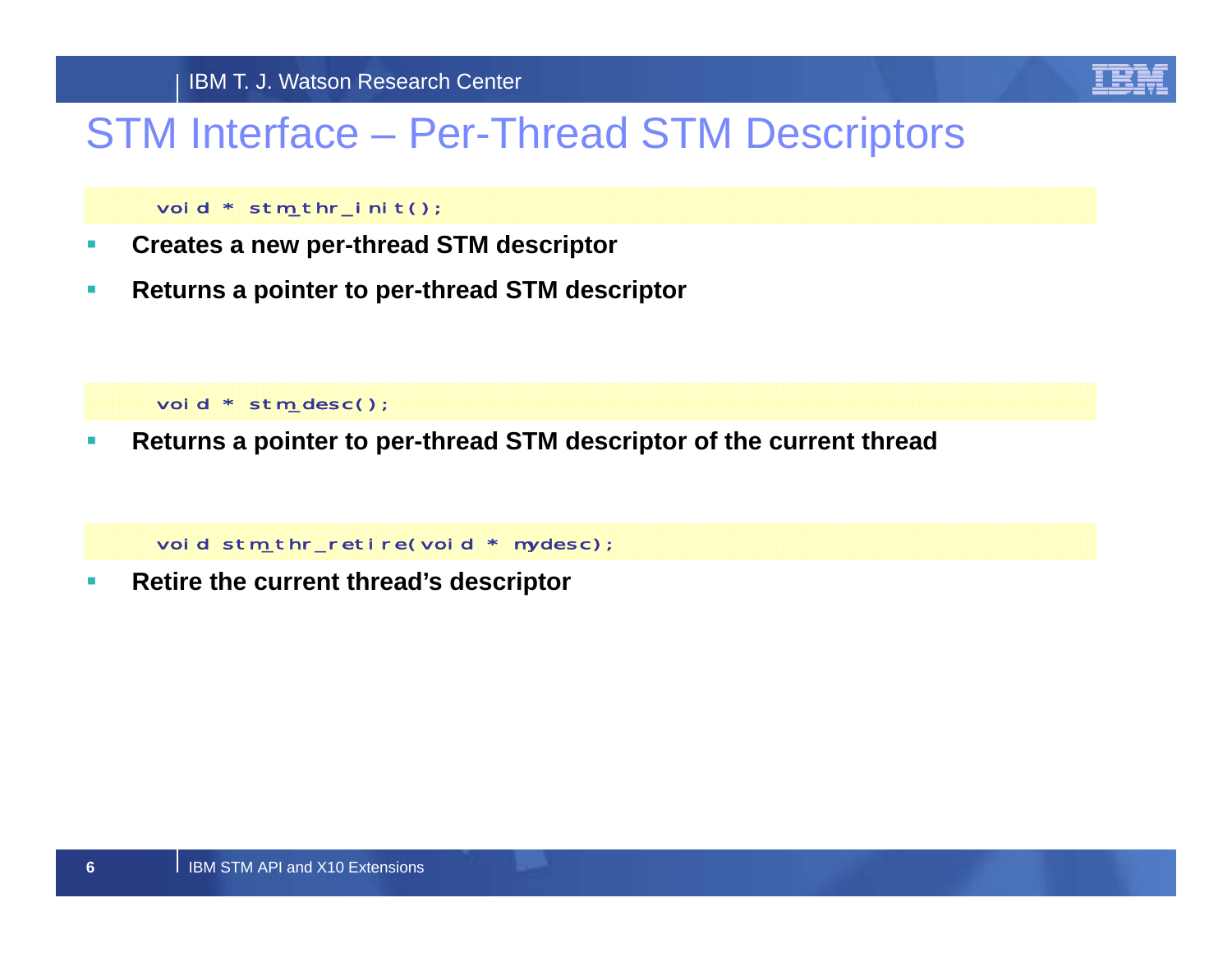

## STM Interface – Per-Thread STM Descriptors

### void \* stm\_thr\_init();

- $\mathcal{L}_{\mathcal{A}}$ **Creates a new per-thread STM descriptor**
- $\mathcal{L}_{\mathcal{A}}$ **Returns <sup>a</sup> pointer to per per-thread STM descriptor thread**

void \* stm\_desc();

 $\mathcal{L}_{\mathcal{A}}$ **Returns a pointer to per-thread STM descriptor of the current thread**

void stm\_thr\_retire(void \* mydesc);

 $\mathcal{L}_{\mathcal{A}}$ **Retire the current thread's descriptor**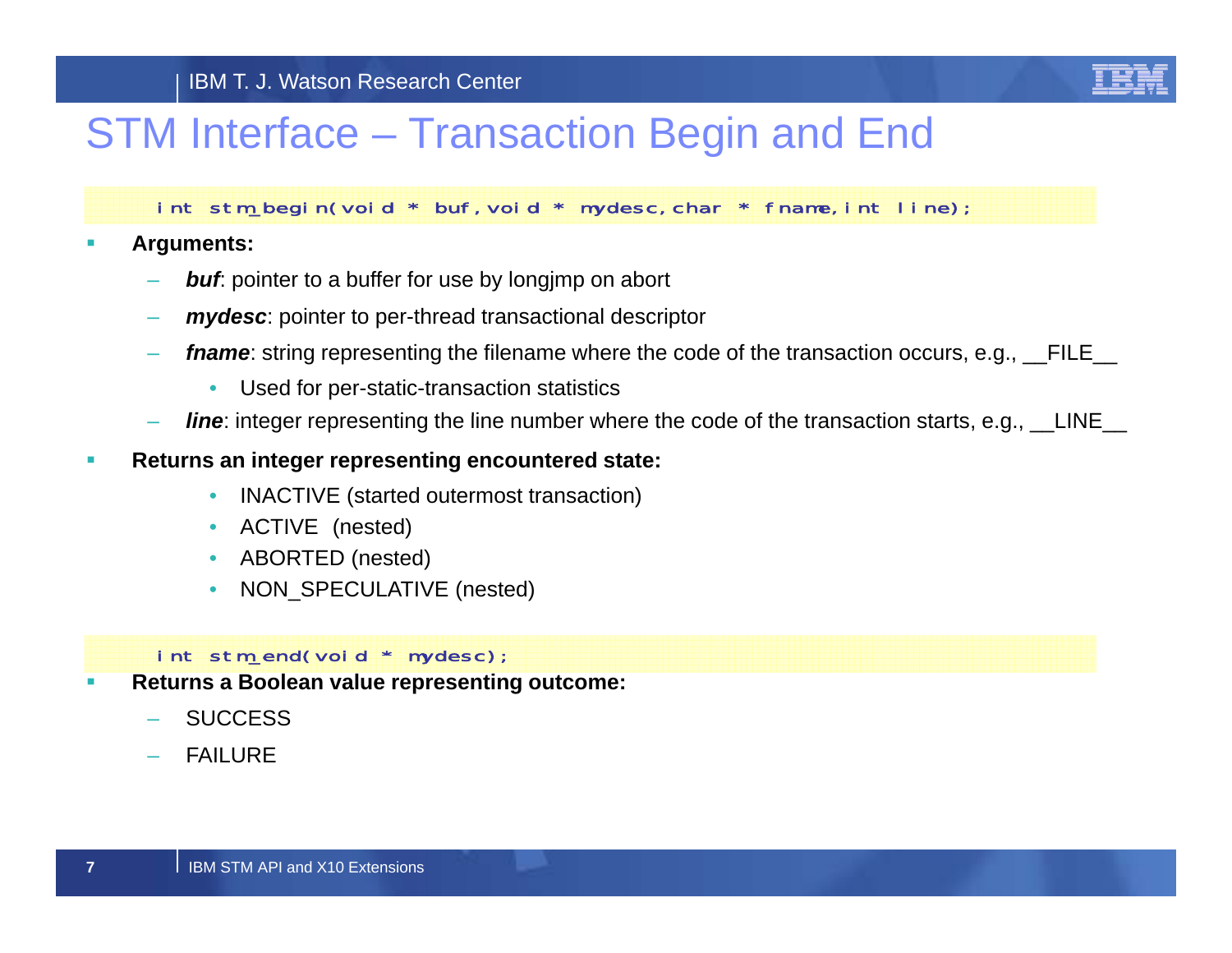

## STM Interface – Transaction Begin and End

int stm\_begin(void \* buf,void \* mydesc,char \* fname,int line);

 $\overline{\phantom{a}}$ **Arguments:**

- *buf*: pointer to a buffer for use by longimp on abort
- *mydesc*: pointer to per-thread transactional descriptor
- *fname*: string representing the filename where the code of the transaction occurs, e.g., FILE
	- •Used for per-static-transaction statistics
- *line*: integer representing the line number where the code of the transaction starts, e.g., \_\_LINE\_\_
- $\overline{\phantom{a}}$  **Returns an integer representing encountered state:**
	- INACTIVE (started outermost transaction)
	- •• ACTIVE (nested)
	- ABORTED (nested)
	- •NON\_SPECULATIVE (nested)

### $int$  stm\_end(void  $*$  mydesc);

- $\overline{\phantom{a}}$  **Returns a Boolean value representing outcome:**
	- **SUCCESS**
	- FAILURE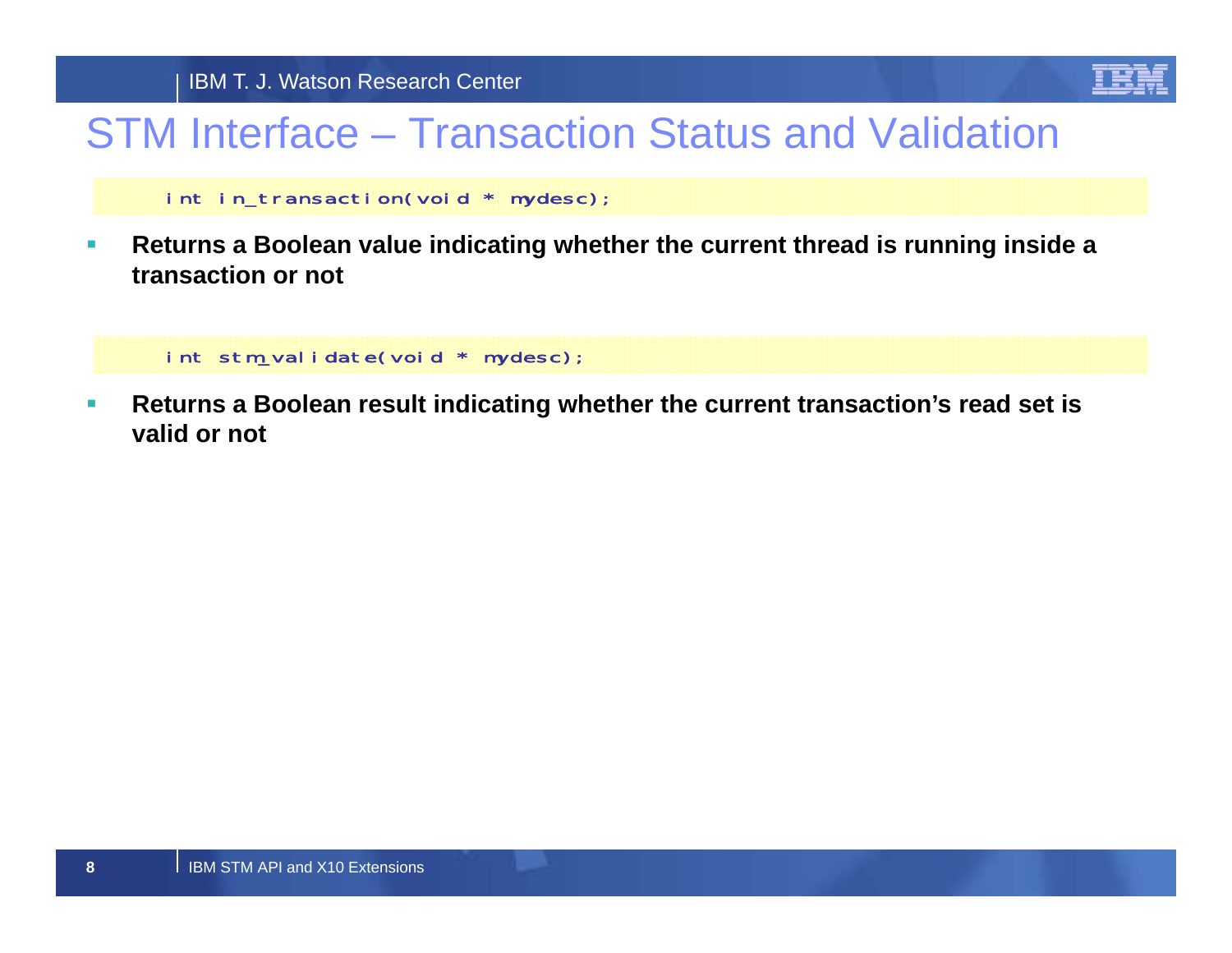

# STM Interface – Transaction Status and Validation

int in\_transaction(void \* mydesc);

 $\mathcal{L}_{\mathcal{A}}$  **Returns a Boolean value indicating whether the current thread is running inside a transaction or not**

int stm\_validate(void \* mydesc);

 $\mathcal{L}_{\mathcal{A}}$  **Returns a Boolean result indicating whether the current transaction's read set is valid or not**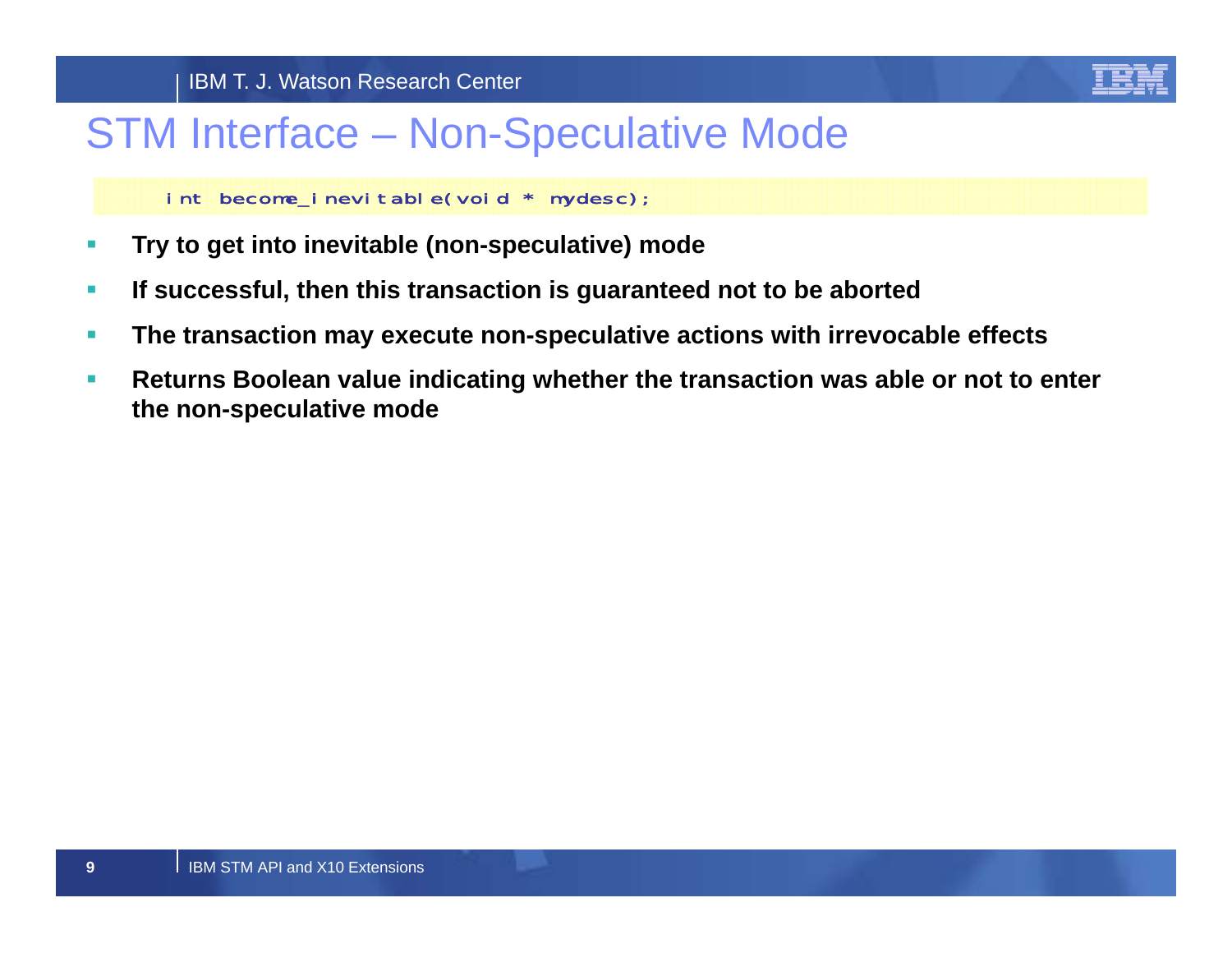

## STM Interface – Non-Speculative Mode

int become\_inevitable(void \* mydesc);

- $\mathcal{L}_{\mathcal{A}}$ **Try to get into inevitable (non-speculative) mode**
- $\mathcal{L}_{\mathcal{A}}$ **If successful, then this transaction is guaranteed not to be aborted**
- $\overline{\phantom{a}}$ **The transaction may execute non-speculative actions with irrevocable effects**
- $\mathcal{L}_{\mathcal{A}}$  **Returns Boolean value indicating whether the transaction was able or not to enter the non non-speculative mode speculative**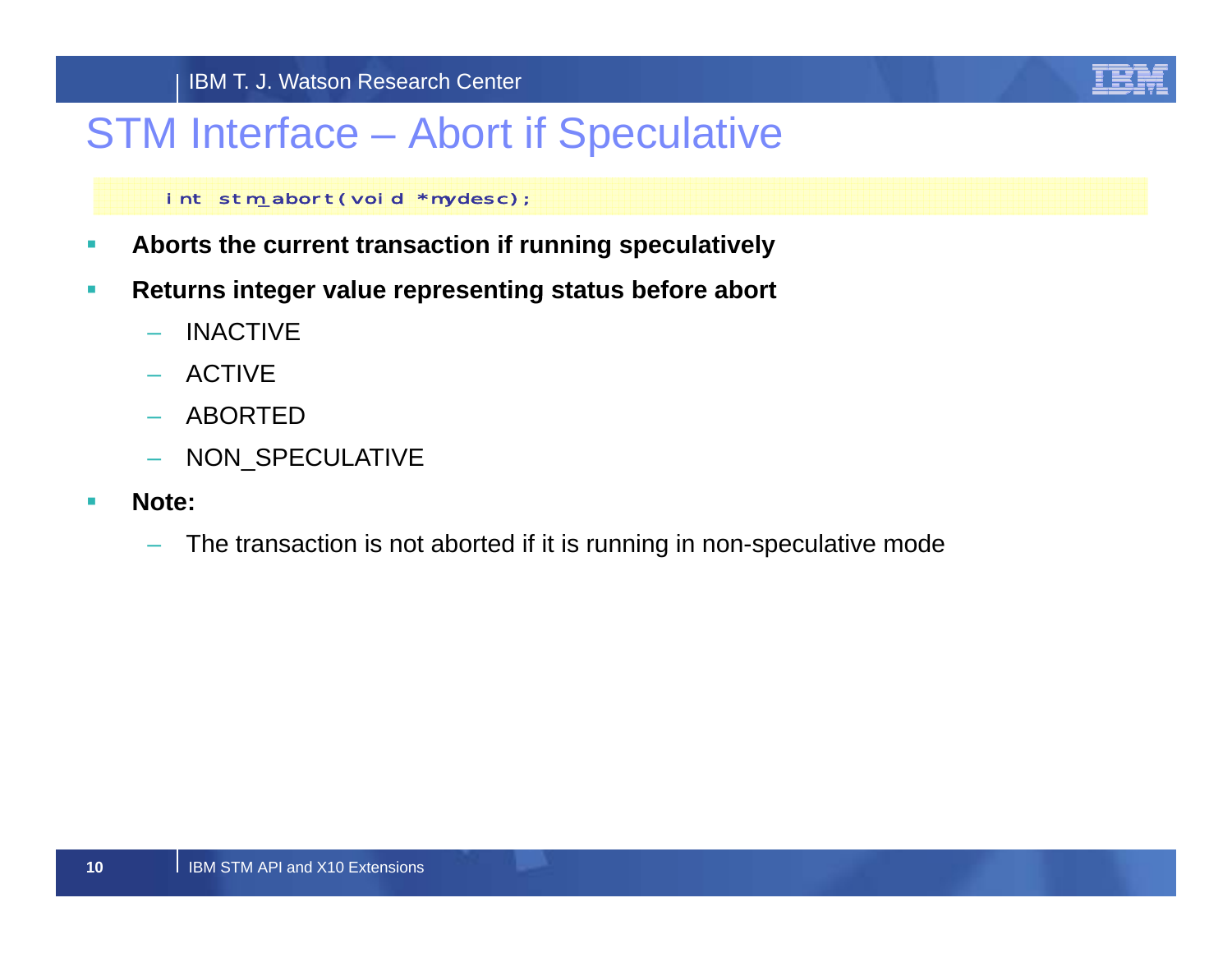

## STM Interface – Abort if Speculative

### int stm\_abort(void \*mydesc);

- $\mathcal{L}_{\mathcal{A}}$ **Aborts the current transaction if running speculatively**
- $\mathcal{L}_{\mathcal{A}}$  **Returns integer value representing status before abort**
	- –INACTIVE
	- ACTIVE
	- ABORTED
	- NON SPECULATIVE
- $\blacksquare$  **Note:**
	- The transaction is not aborted if it is running in non-speculative mode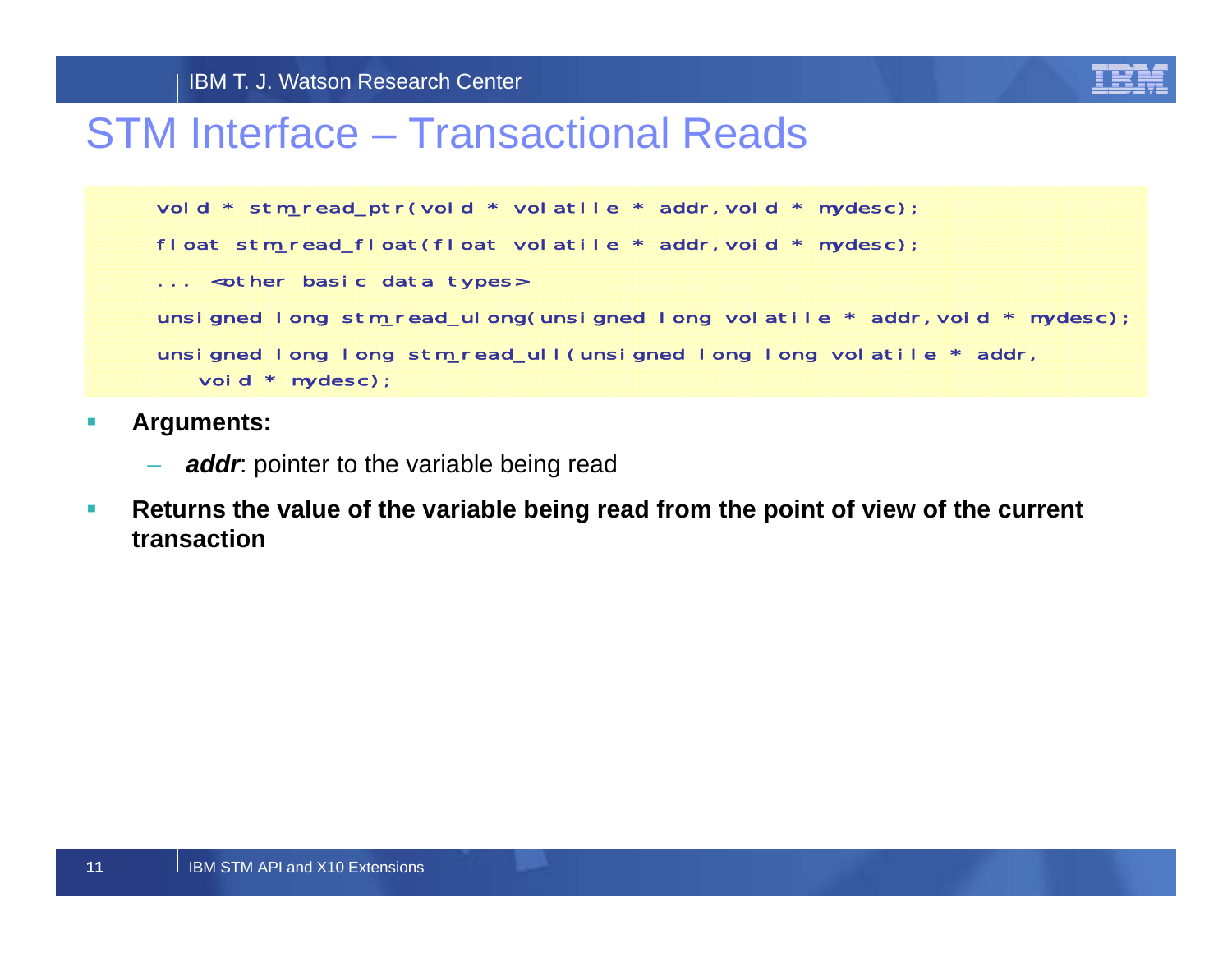

## STM Interface – Transactional Reads

```
void * stm_read_ptr(void * volatile * addr, void * mydesc);
float stm_read_float(float volatile * addr, void * mydesc);
... <other basic data types>
unsigned long stm_read_ulong(unsigned long volatile * addr, void * mydesc);
unsigned long long stm_read_ull(unsigned long long volatile * addr,
   void * mydesc);
```
- $\mathcal{L}_{\mathcal{A}}$  **A t rguments:**
	- *addr*: pointer to the variable being read
- $\mathcal{L}_{\mathcal{A}}$  **Returns the value of the variable being read from the point of view of the current transaction**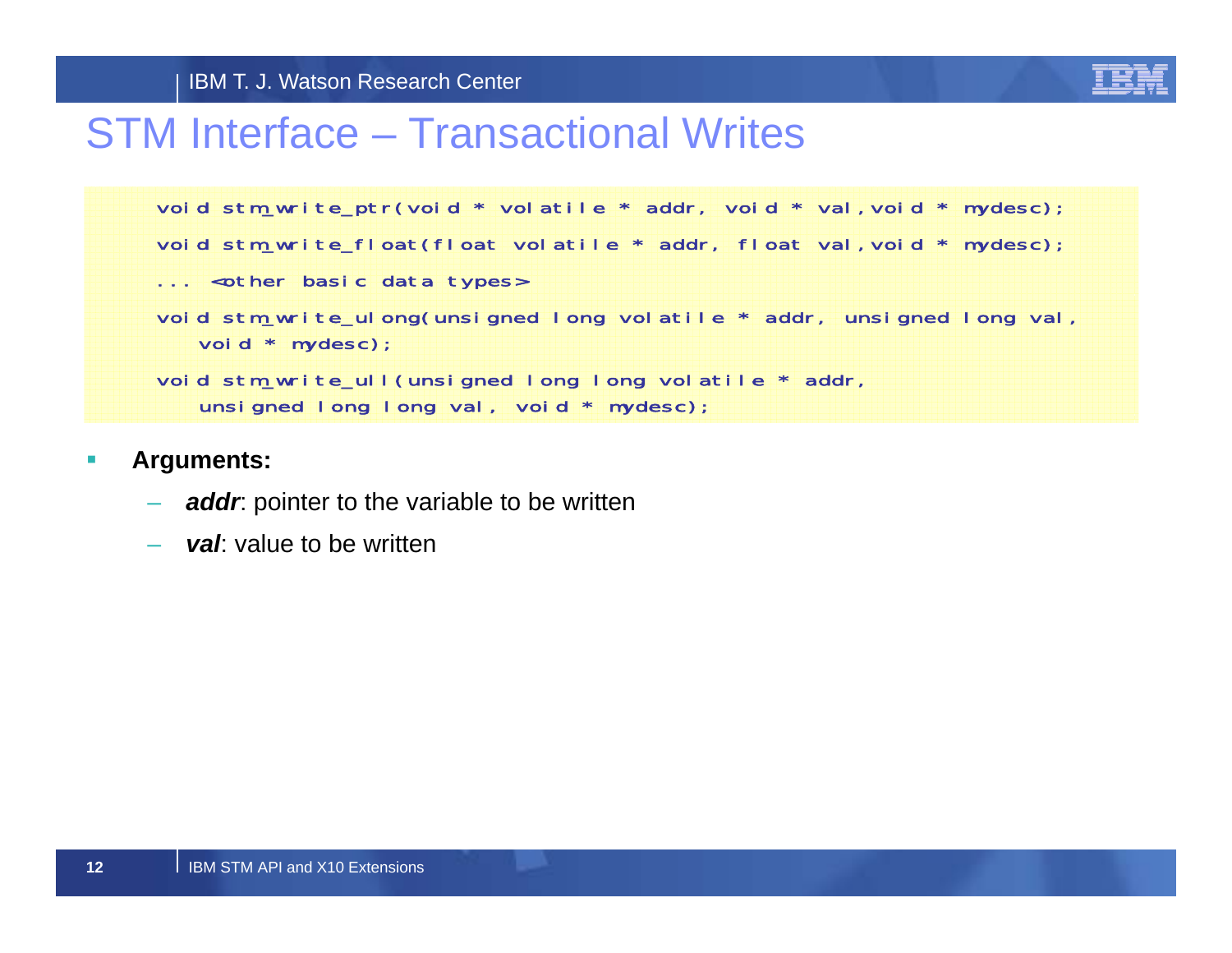

## STM Interface – Transactional Writes

```
void stm_write_ptr(void * volatile * addr, void * val,void * mydesc);
void stm_write_float(float volatile * addr, float val, void * mydesc);
... <other basic data types>
void stm_write_ulong(unsigned long volatile * addr, unsigned long val,
   void * mydesc);
void stm_write_ull(unsigned long long volatile * addr,
   unsigned long long val, void * mydesc);
```
- $\mathcal{C}$  **Arguments:**
	- *addr*: pointer to the variable to be written
	- val: value to be written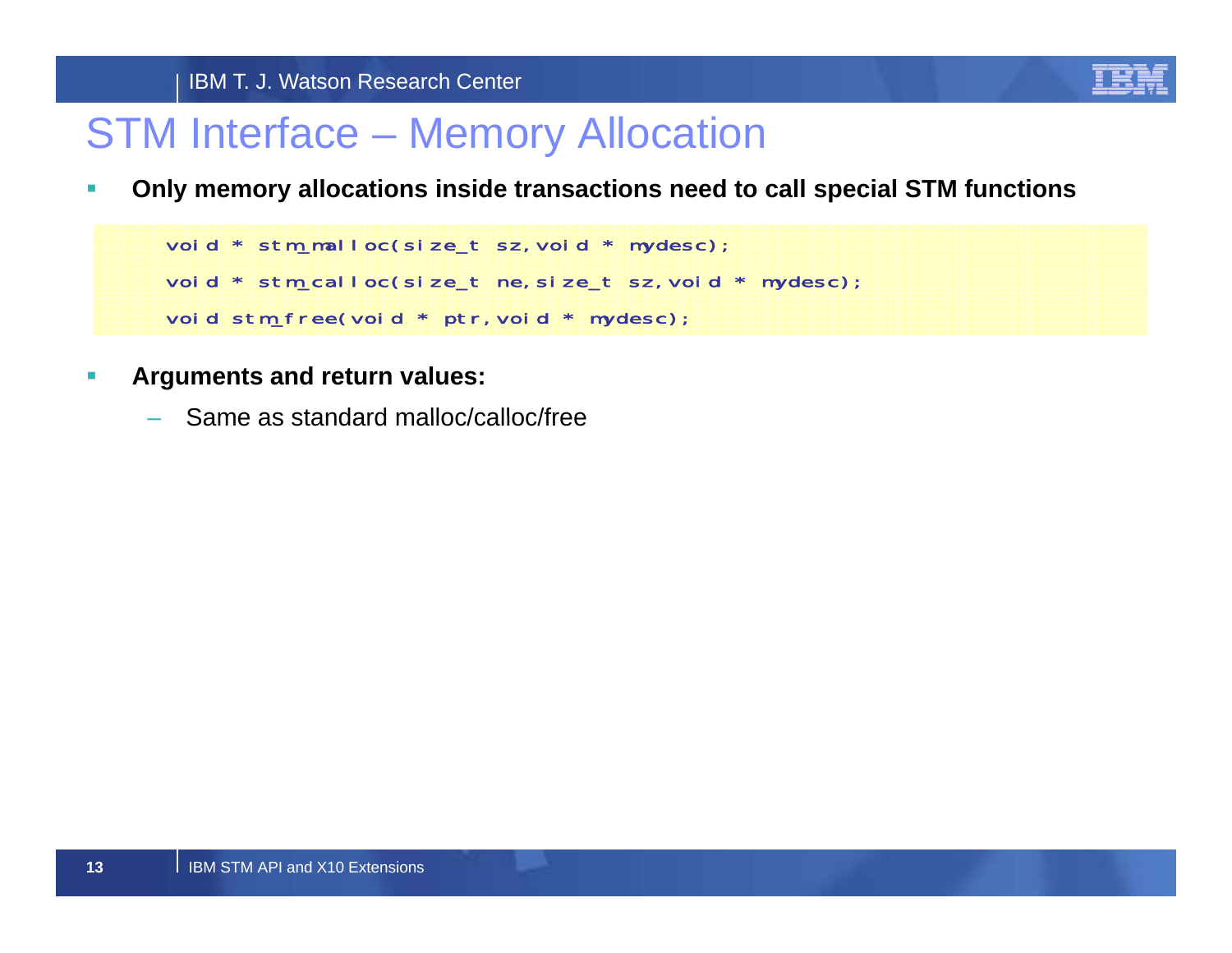

## STM Interface – Memory Allocation

 $\mathcal{L}_{\mathcal{A}}$ **Only memory allocations inside transactions need to call special STM functions**

void \* stm\_malloc(size\_t sz, void \* mydesc); void \* stm\_calloc(size\_t ne,size\_t sz,void \* mydesc); void stm\_free(void \* ptr, void \* mydesc);

- $\mathbb{Z}$  **Arguments and return values:**
	- Same as standard malloc/calloc/free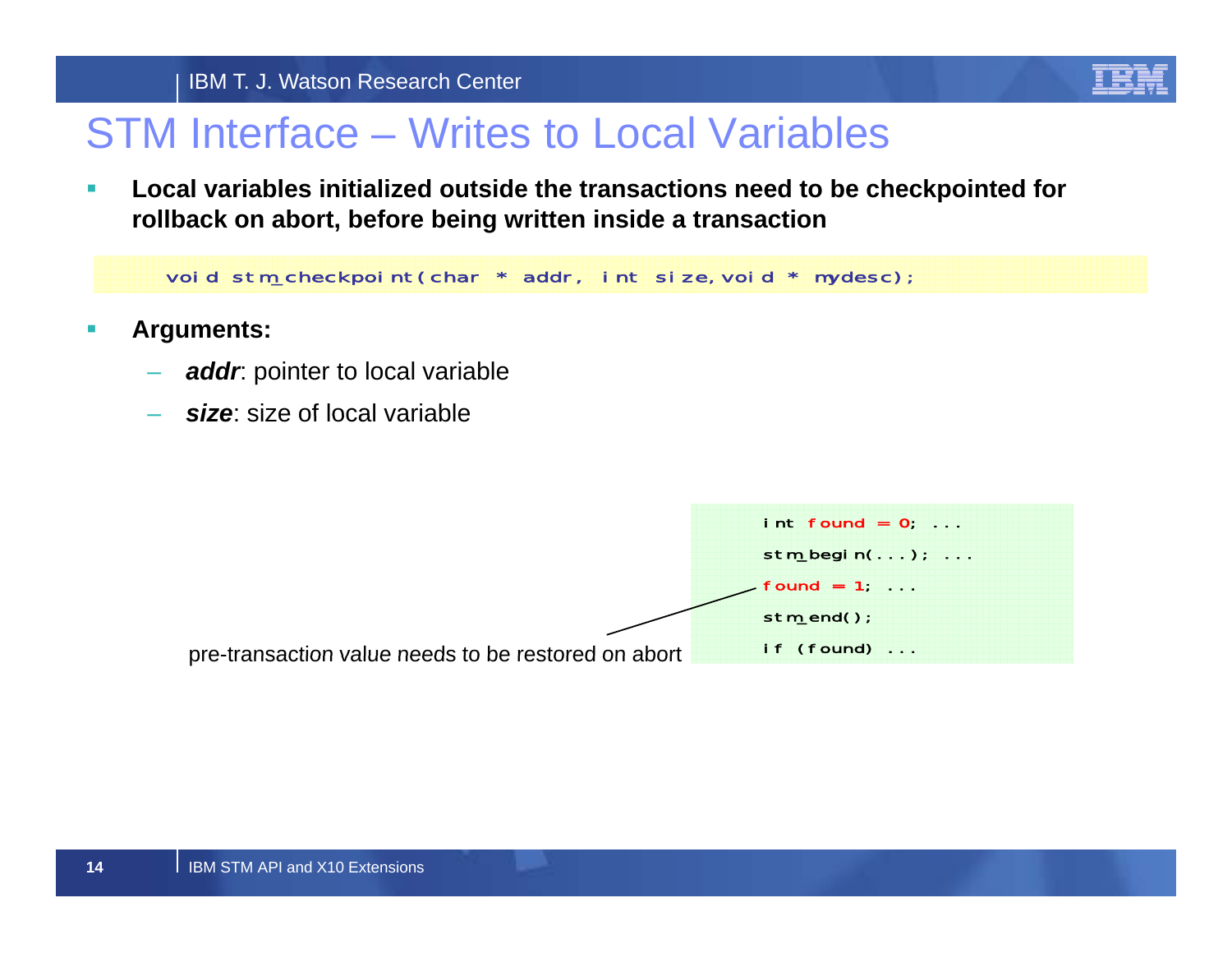

## STM Interface – Writes to Local Variables

 $\mathcal{L}_{\mathcal{A}}$  **Local variables initialized outside the transactions need to be checkpointed for rollback on abort, before being written inside a transaction**

void stm\_checkpoint(char \* addr, int size, void \* mydesc);

- **I Arguments:**
	- *addr*: pointer to local variable
	- *size*: size of local variable

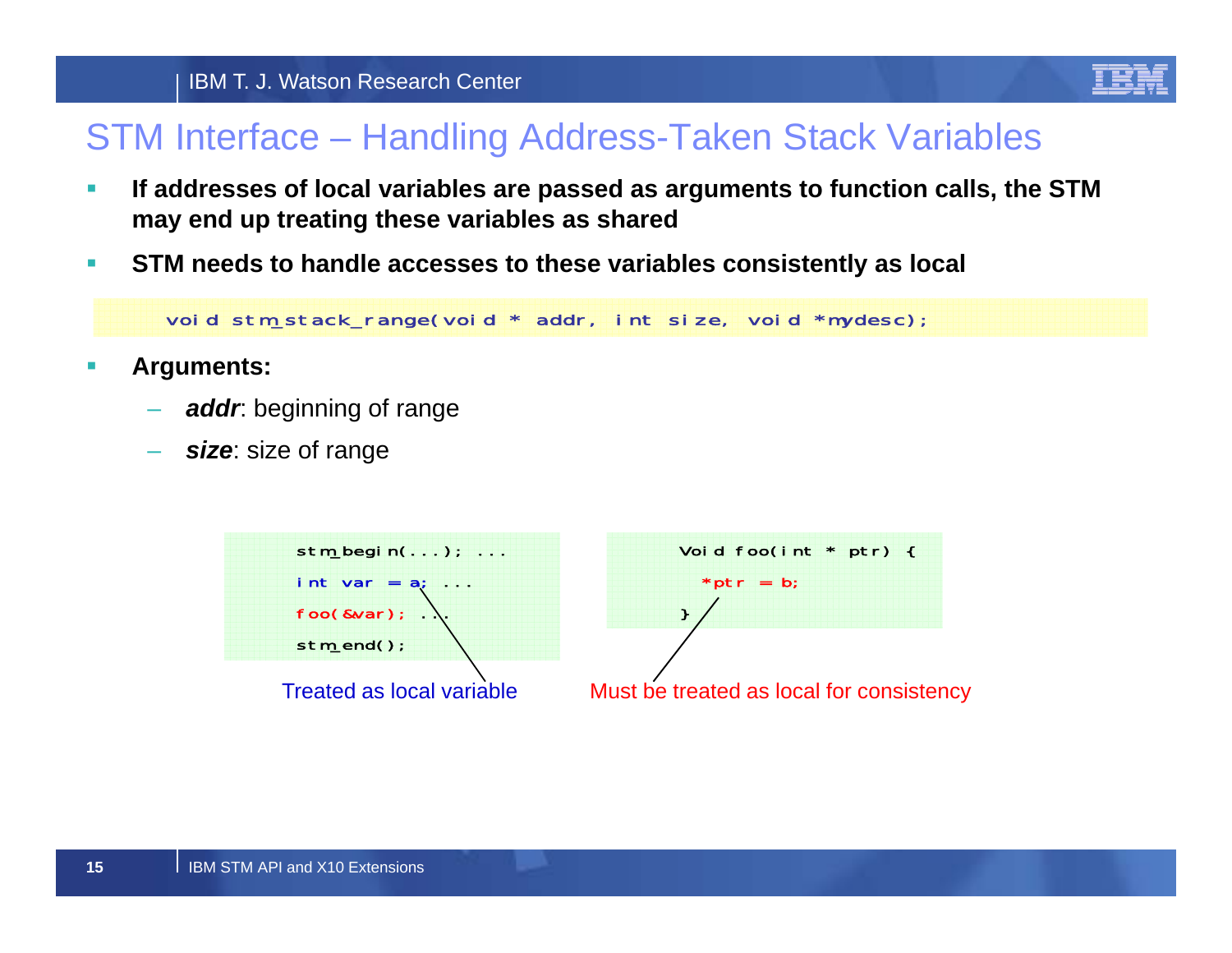

## STM Interface – Handling Address-Taken Stack Variables

- $\mathcal{L}_{\mathcal{A}}$  **If addresses of local variables are passed as arguments to function calls, the STM may end up treating these variables as shared**
- $\mathcal{L}_{\mathcal{A}}$ **STM needs to handle accesses to these variables consistently as local**

void stm\_stack\_range(void \* addr, int size, void \*mydesc);

- $\mathcal{L}_{\mathcal{A}}$  **Arguments:**
	- *addr*: beginning of range
	- *size*: size of range

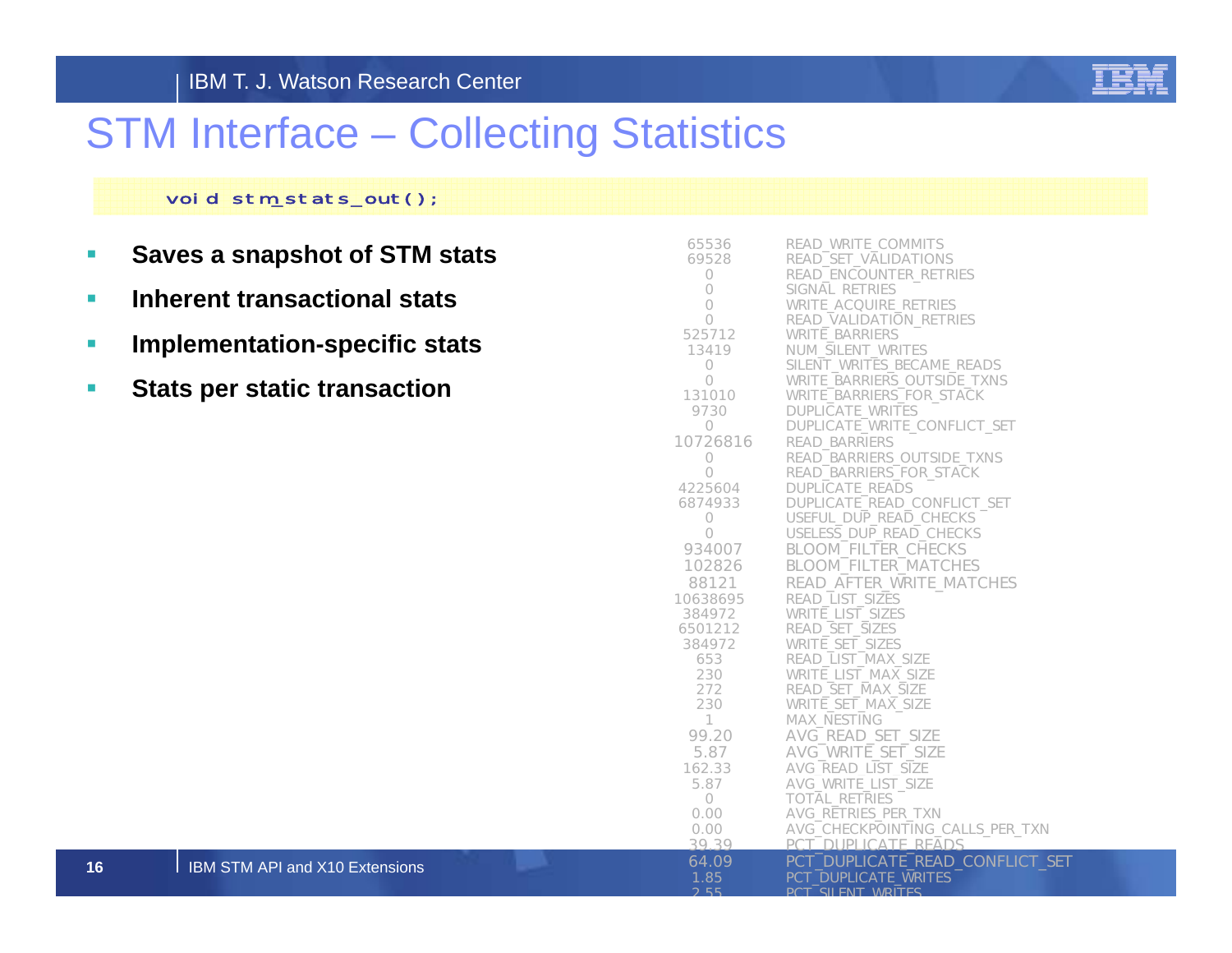

## STM Interface – Collecting Statistics

### void stm\_stats\_out();

- $\mathcal{L}_{\mathcal{A}}$ **Saves a snapshot of STM stats**
- $\mathcal{L}_{\mathcal{A}}$ **Inherent transactional stats**
- $\overline{\phantom{a}}$ **Implementation-specific stats**

I IBM STM API and X10 Extensions

 $\mathcal{L}_{\mathcal{A}}$ **Stats per static transaction**

| 65536        | READ_WRITE_COMMITS              |
|--------------|---------------------------------|
| 69528        | READ_SET_VALIDATIONS            |
| 0            | READ_ENCOUNTER_RETRIES          |
| 0            | SIGNAL RETRIES                  |
| 0            | WRITE_ACQUIRE_RETRIES           |
| 0            | READ_VALIDATION_RETRIES         |
| 525712       | WRITE_BARRIERS                  |
| 13419        | NUM_SILENT_WRITES               |
| 0            | SILENT WRITES BECAME READS      |
| 0            | WRITE_BARRIERS_OUTSIDE_TXNS     |
| 131010       | <b>WRITE BARRIERS FOR STACK</b> |
| 9730         | <b>DUPLICATE_WRITES</b>         |
| 0            | DUPLICATE_WRITE_CONFLICT_SET    |
| 10726816     | READ_BARRIERS                   |
| 0            | READ_BARRIERS_OUTSIDE_TXNS      |
| $\circ$      | READ_BARRIERS_FOR_STACK         |
| 4225604      | DUPLICATE_READS                 |
| 6874933      | DUPLICATE_READ_CONFLICT_SET     |
| 0            | USEFUL_DUP_READ_CHECKS          |
| 0            | USELESS_DUP_READ_CHECKS         |
| 934007       | <b>BLOOM_FILTER_CHECKS</b>      |
| 102826       | <b>BLOOM_FILTER_MATCHES</b>     |
| 88121        | READ_AFTER_WRITE_MATCHES        |
| 10638695     | READ_LIST_SIZES                 |
| 384972       | <b>WRITE LIST SIZES</b>         |
| 6501212      | READ_SET_SIZES                  |
| 384972       | WRITE_SET_SIZES                 |
| 653          | READ_LIST_MAX_SIZE              |
| 230          | WRITE LIST MAX SIZE             |
| 272          | READ_SET_MAX_SIZE               |
| 230          | WRITE_SET_MAX_SIZE              |
| $\mathbf{1}$ | MAX_NESTING                     |
| 99.20        | AVG_READ_SET_SIZE               |
| 5.87         | AVG_WRITE_SET_SIZE              |
| 162.33       | AVG_READ_LIST_SIZE              |
| 5.87         | AVG_WRITE_LIST_SIZE             |
| $\circ$      | <b>TOTAL RETRIES</b>            |
| 0.00         | AVG_RETRIES_PER_TXN             |
| 0.00         | AVG_CHECKPOINTING_CALLS_PER_TXN |
| 39.39        | PCT DUPLICATE READS             |
| 64.09        | PCT_DUPLICATE_READ_CONFLICT_SET |
| 1.85         | <b>PCT DUPLICATE WRITES</b>     |
| 2.55         | <b>PCT SILENT WRITES</b>        |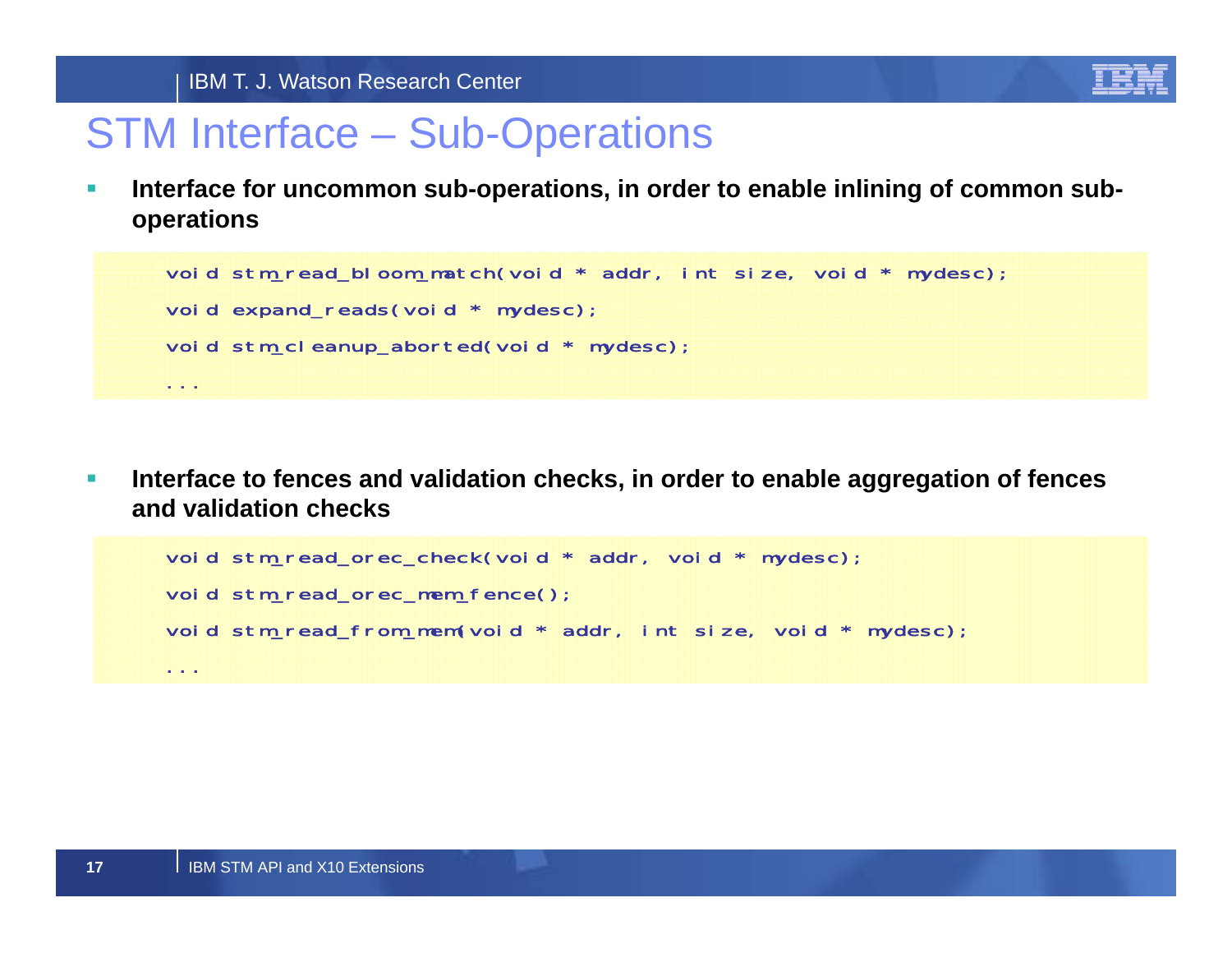

## STM Interface – Sub-Operations

 $\mathcal{L}_{\mathcal{A}}$  **Interface for uncommon sub-operations, in order to enable inlining of common suboperations**

```
void stm_read_bloom_match(void * addr, int size, void * mydesc);
void expand_reads(void * mydesc);
void stm_cleanup_aborted(void * mydesc);
...
```
 $\mathcal{L}_{\mathcal{A}}$  **Interface to fences and validation checks, in order to enable aggregation of fences and validation checks**

```
void stm_read_orec_check(void * addr, void * mydesc);
void stm_read_orec_mem_fence();
void stm_read_from_mem(void * addr, int size, void * mydesc);
```
...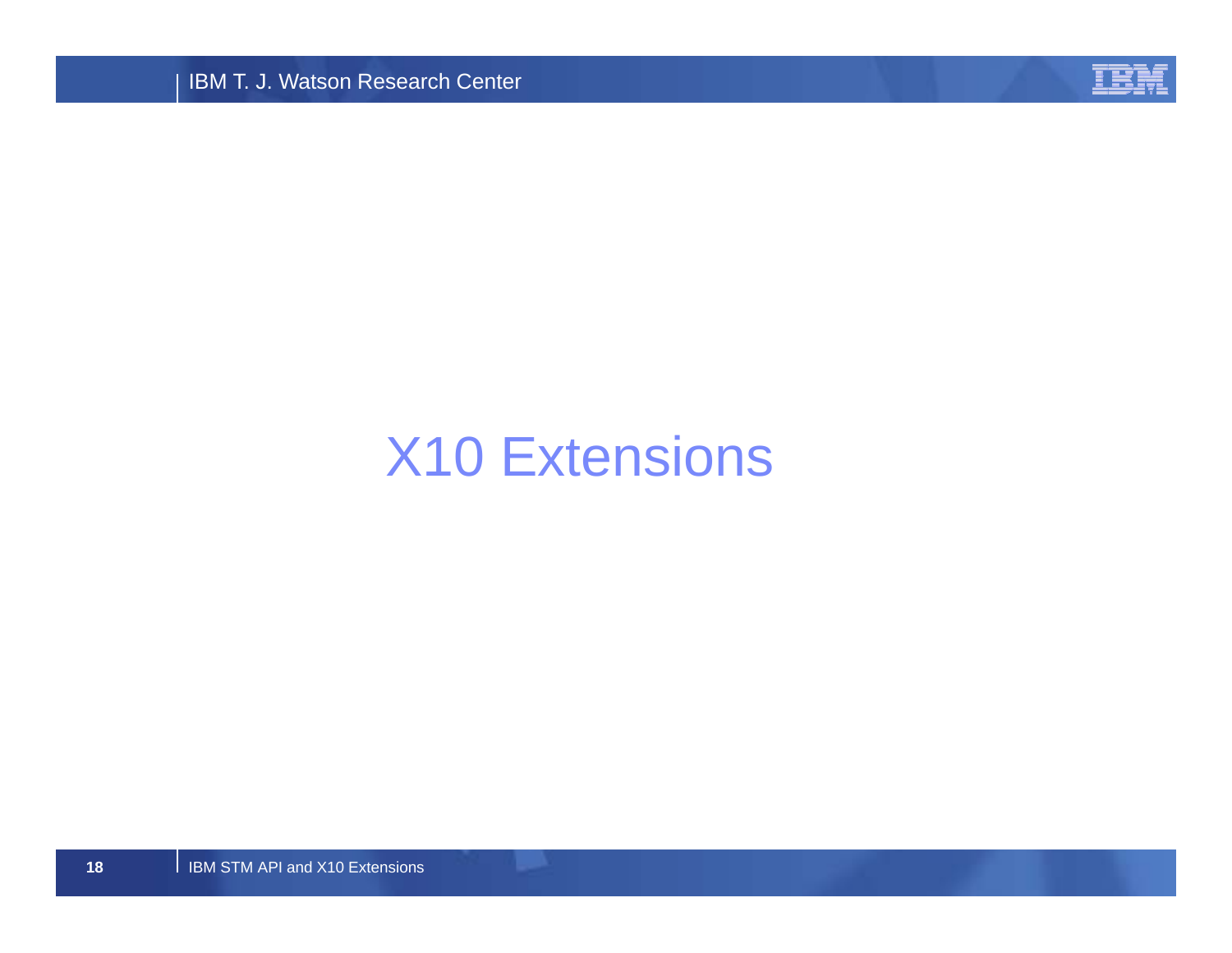IBM T. J. Watson Research Center



# X10 Extensions

I IBM STM API and X10 Extensions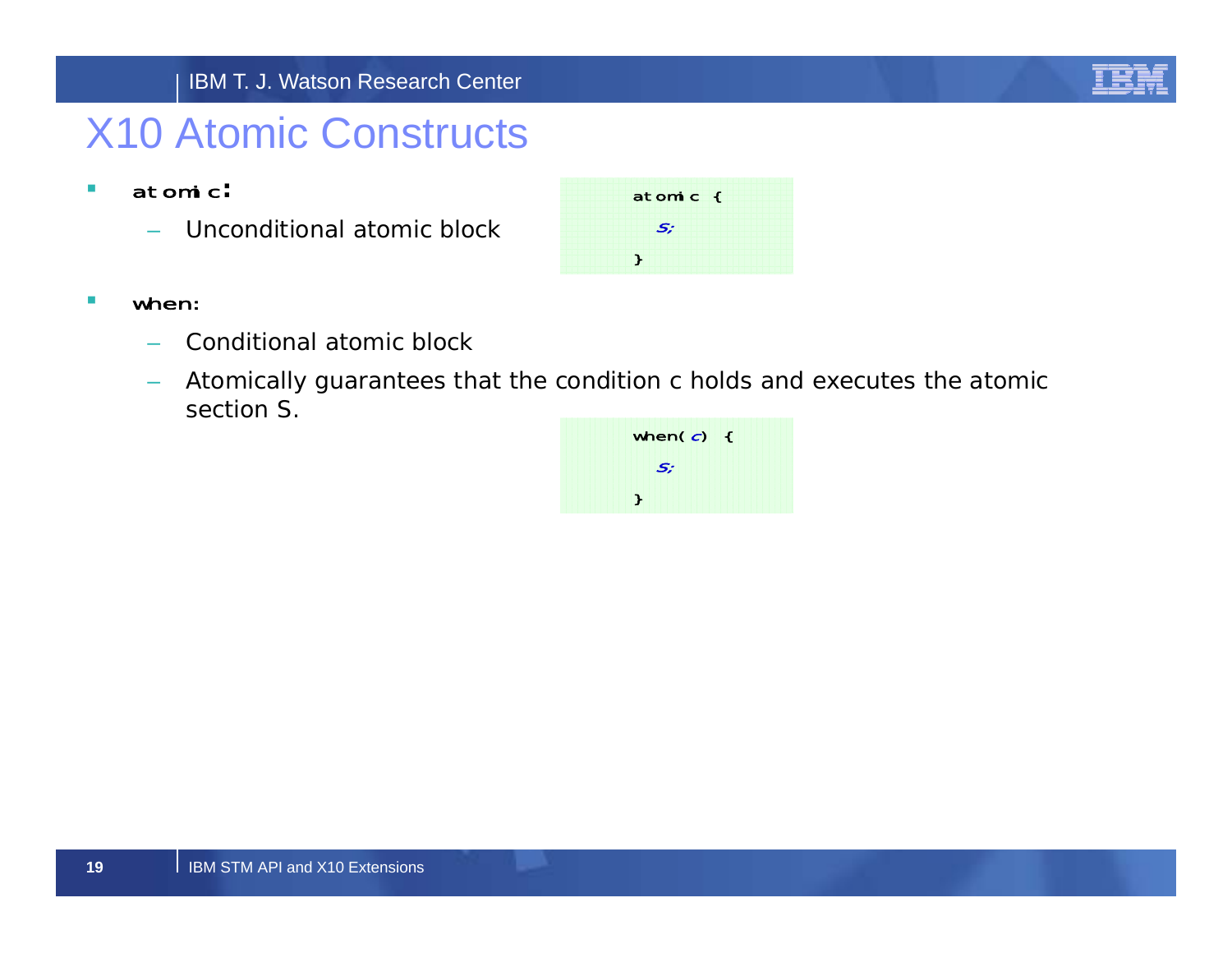

## X10 Atomic Constructs

- $\mathcal{L}_{\mathcal{A}}$  atomic**:**
	- Unconditional atomic block
- $\mathcal{L}_{\mathcal{A}}$  when:
	- –Conditional atomic block
	- Atomically guarantees that the condition *<sup>c</sup>* holds and executes the atomic section *S*.



atomic {

S;

}

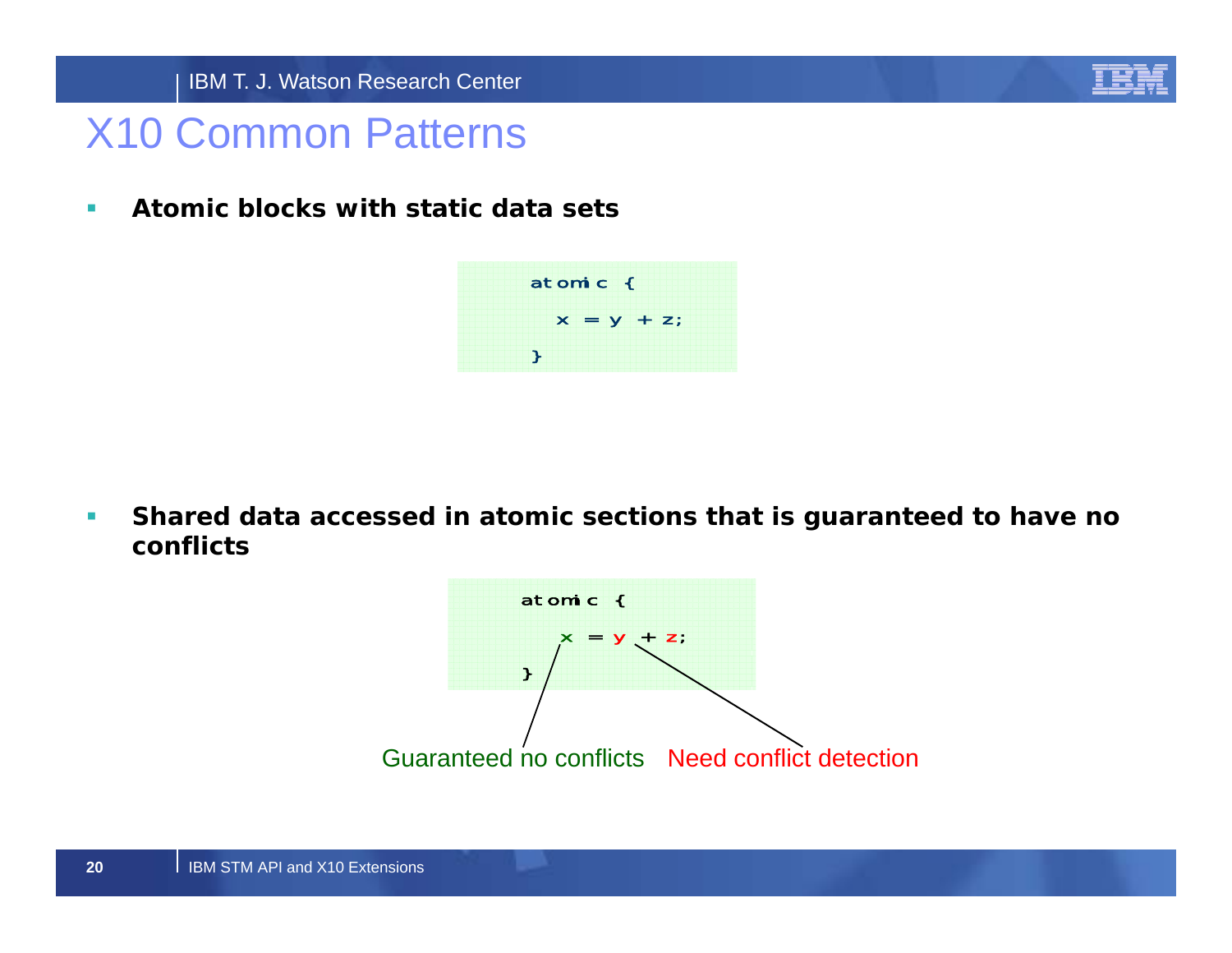

## X10 Common Patterns

 $\mathcal{L}_{\mathcal{A}}$ **Atomic blocks with static data sets**

> atomic {  $x = y + z$ ; }

 $\mathcal{L}_{\mathcal{A}}$  **Shared data accessed in atomic sections that is guaranteed to have no conflicts**

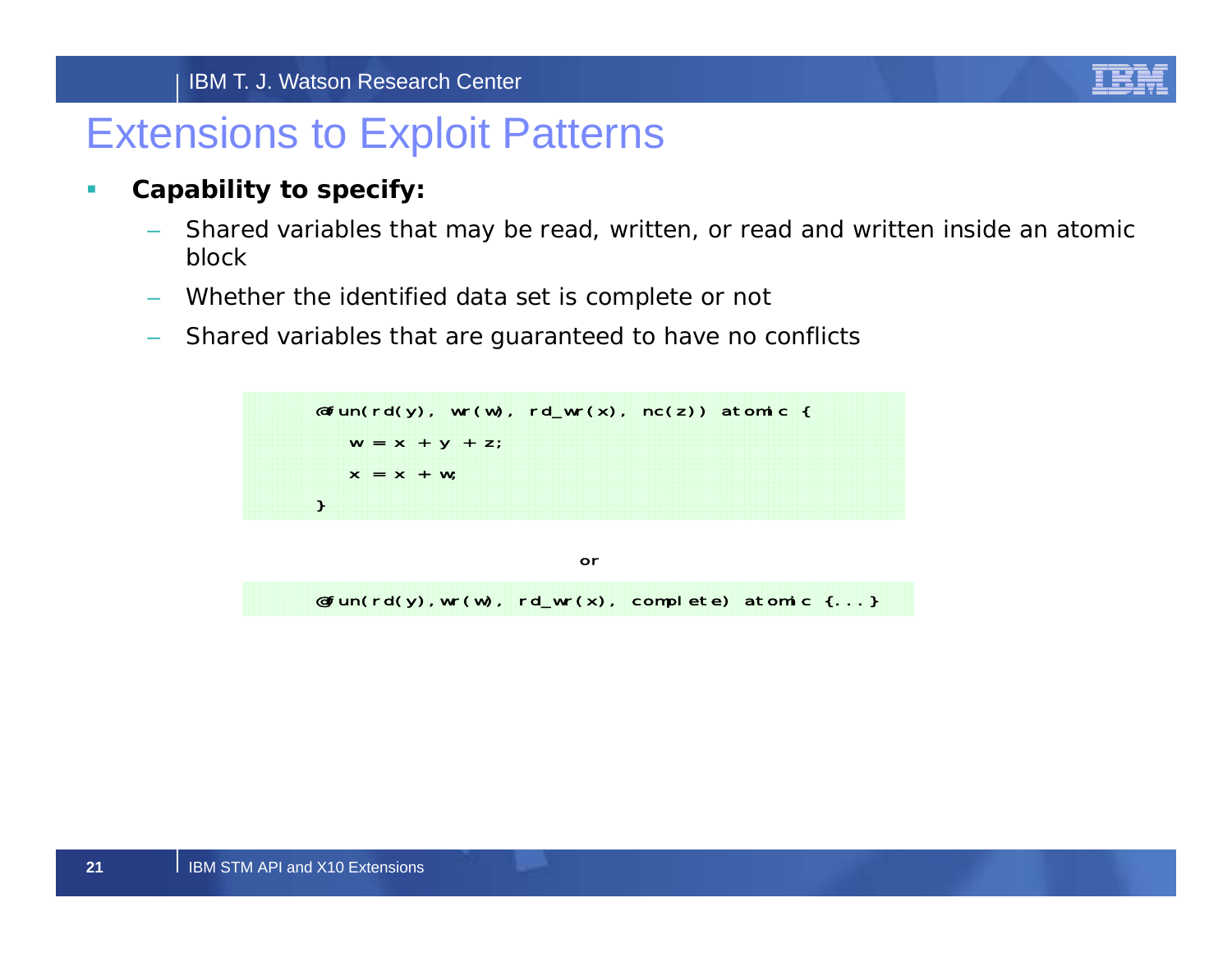#### IBM T. J. Watson Research Center



## Extensions to Exploit Patterns

- $\mathcal{L}_{\mathcal{A}}$  **Capability to specify:**
	- Shared variables that may be read, written, or read and written inside an atomic block
	- Whether the identified data set is complete or not
	- Shared variables that are guaranteed to have no conflicts

 $\mathsf{efunc}(\text{rd}(y), \text{wr}(w), \text{rd\_wr}(x), \text{nc}(z))$  atomic {  $W = X + Y + Z;$  $X = X + W;$ }

 $\mathsf{efunc}(\mathsf{rd}(y),\mathsf{wr}(w),\mathsf{rd\_wr}(x),\mathsf{comple}$ te) atomic  $\{\ldots\}$ or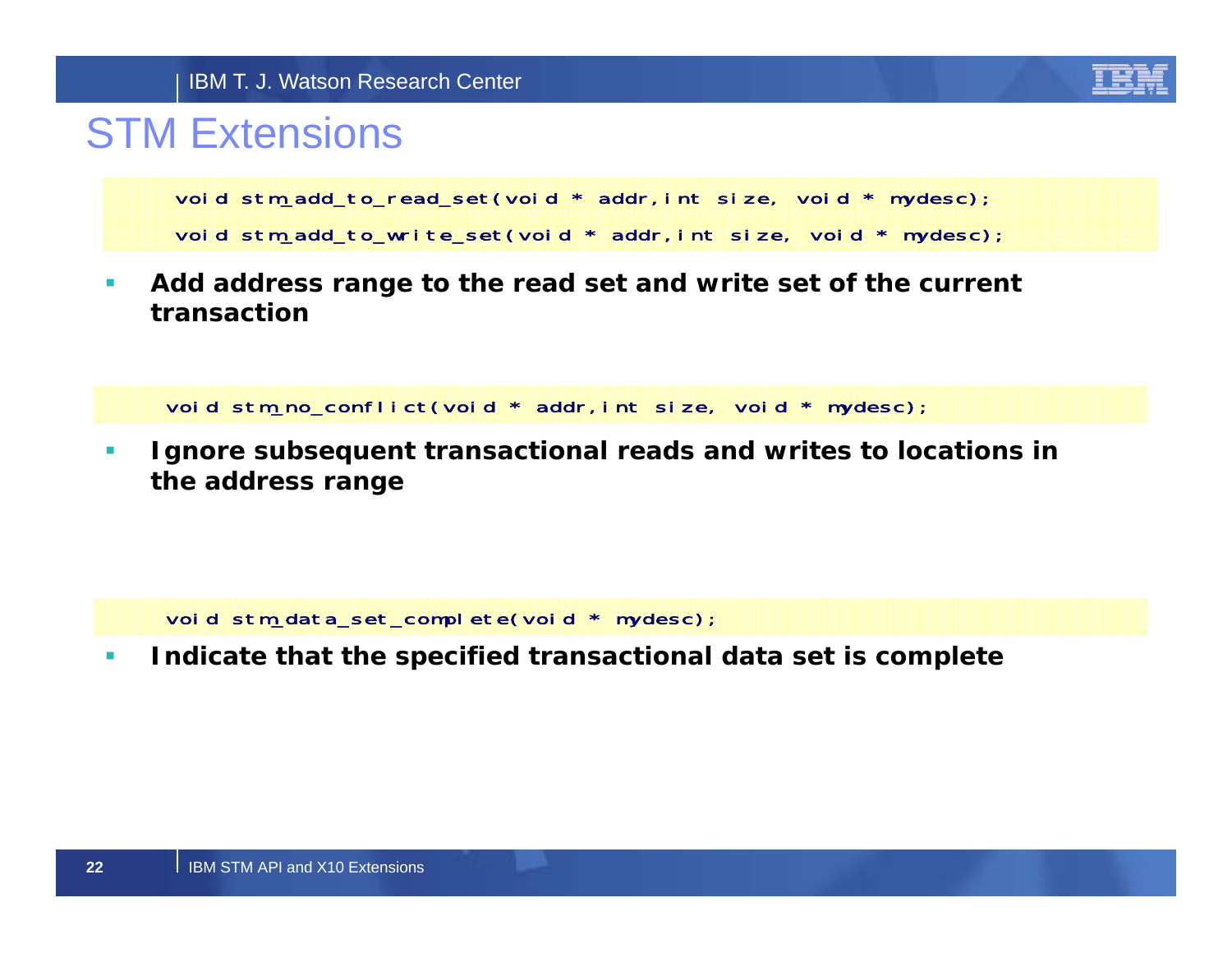

## STM Extensions

void stm\_add\_to\_read\_set(void \* addr,int size, void \* mydesc); void stm\_add\_to\_write\_set(void \* addr,int size, void \* mydesc);

 $\mathcal{C}$  **Add address range to the read set and write set of the current transaction**

void stm\_no\_conflict(void \* addr,int size, void \* mydesc);

 $\mathcal{C}$  **Ignore subsequent transactional reads and writes to locations in the address range** 

void stm\_data\_set\_complete(void \* mydesc);

 $\overline{\phantom{a}}$ **Indicate that the specified transactional data set is complete**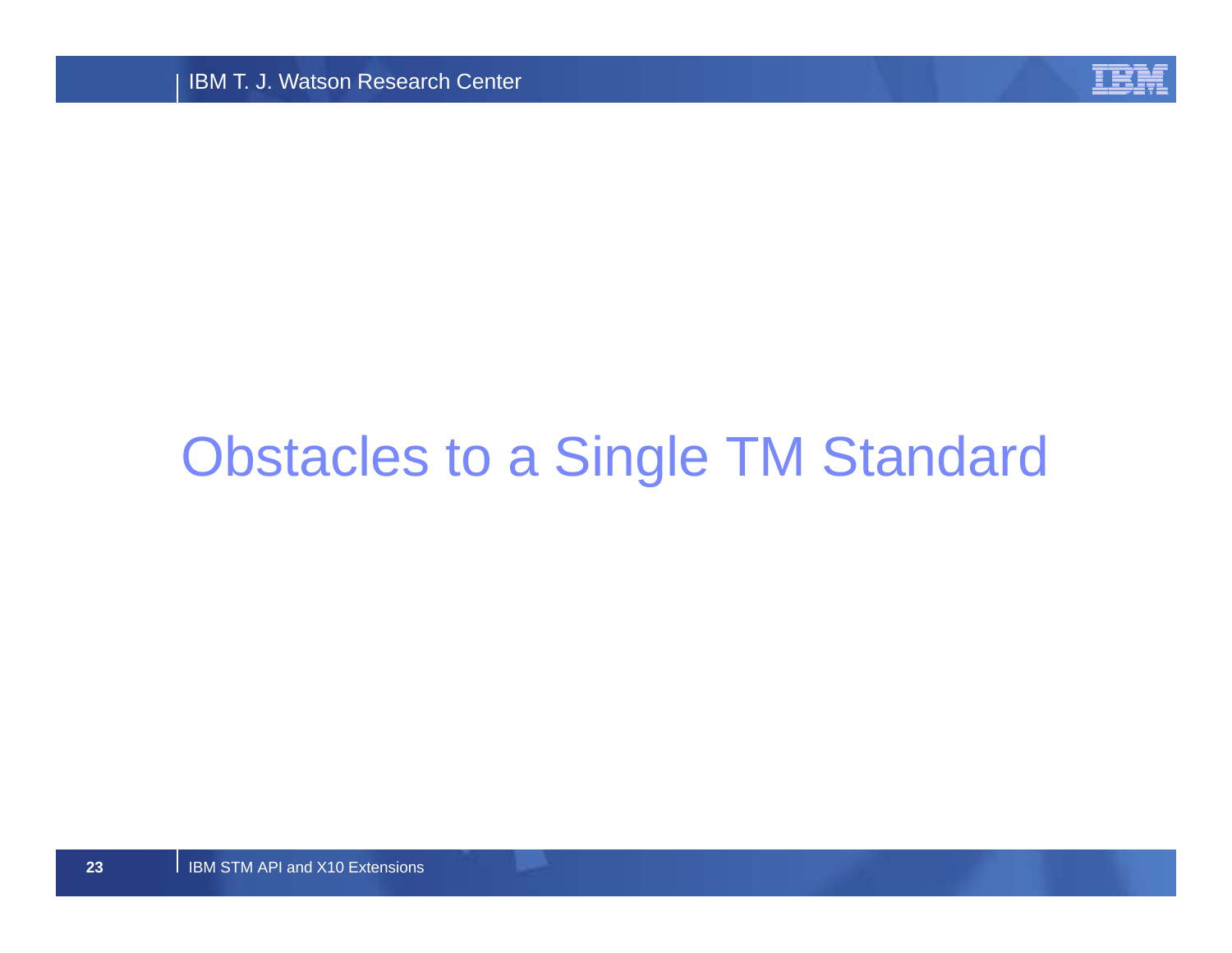

# Obstacles to a Single TM Standard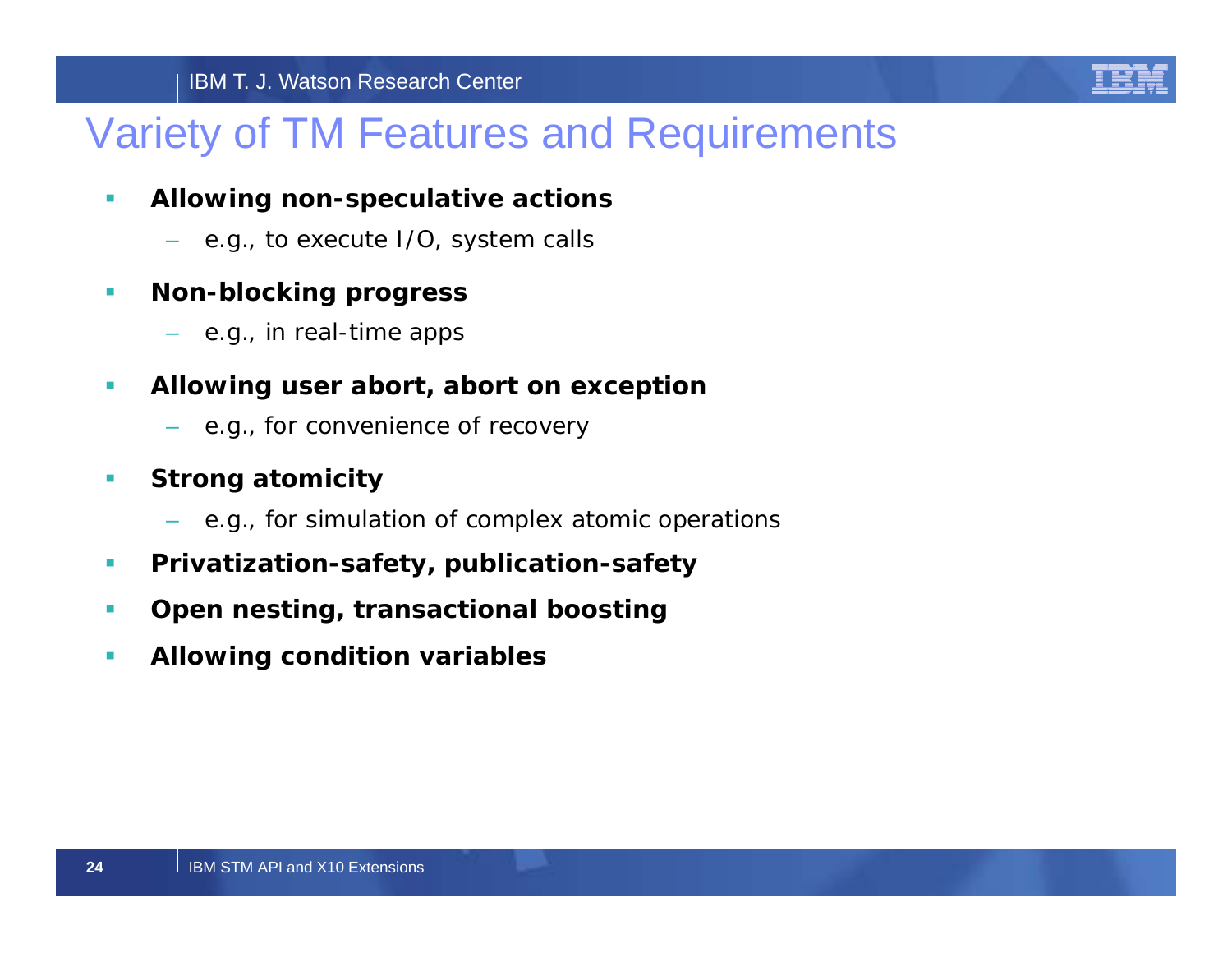

## Variety of TM Features and Requirements

- $\mathcal{C}$  **Allowing non-speculative actions**
	- e.g., to execute I/O, system calls
- $\mathcal{C}$  **Non-blocking progress**
	- e.g., in real-time apps
- $\mathcal{C}$  **Allowing user abort, abort on exception**
	- e.g., for convenience of recovery
- $\mathcal{C}$  **Strong atomicity**
	- e.g., for simulation of complex atomic operations
- $\mathcal{C}$ **Privatization-safety, publication-safety**
- $\mathcal{C}$ **Open nesting, transactional boosting**
- $\mathcal{L}_{\mathcal{A}}$ **Allowing condition variables**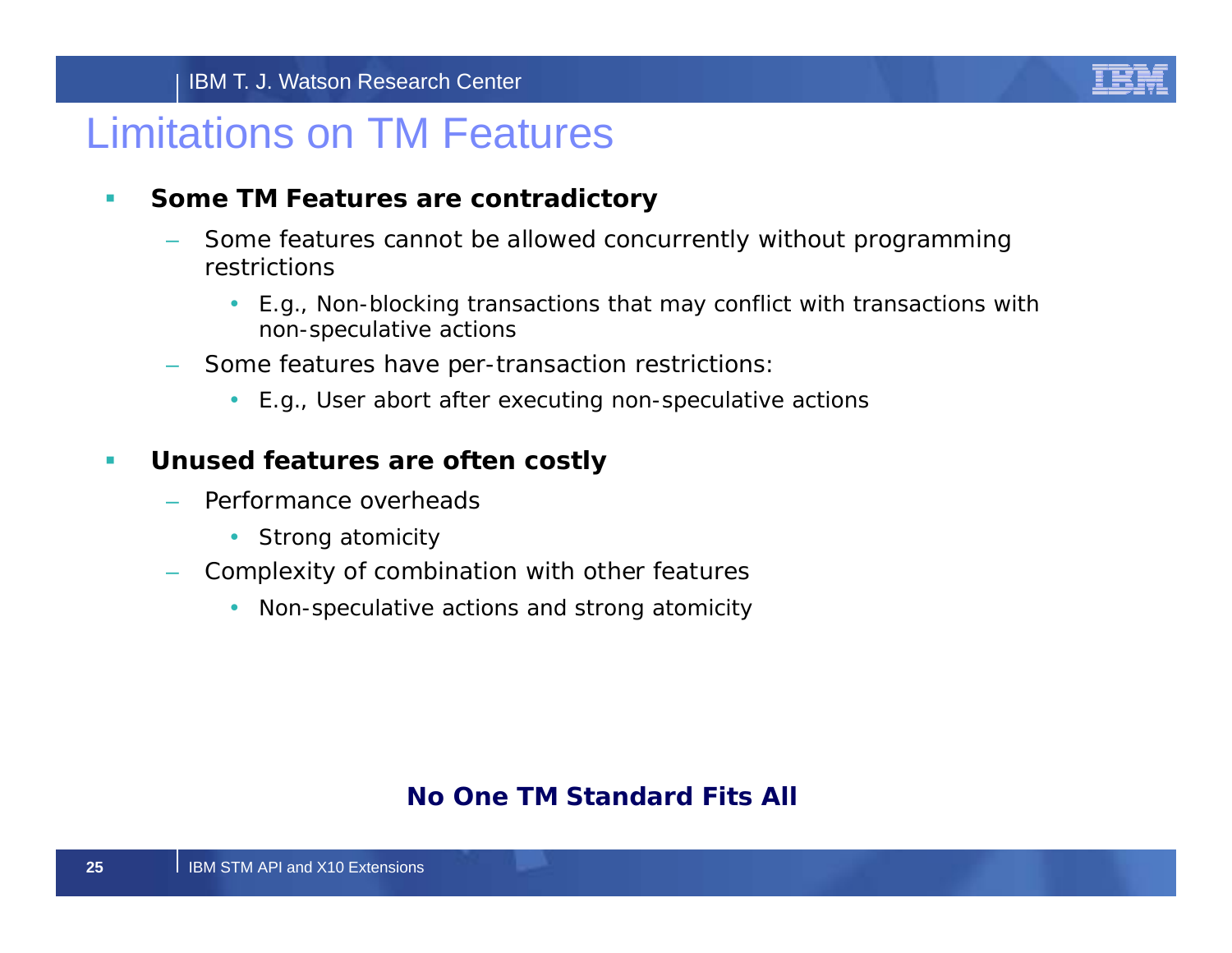

## Limitations on TM Features

#### $\mathcal{C}$ **Some TM Features are contradictory**

- Some features cannot be allowed concurrently without programming restrictions
	- E.g., Non-blocking transactions that may conflict with transactions with non-speculative actions
- Some features have per-transaction restrictions:
	- E.g., User abort after executing non-speculative actions

#### $\mathcal{C}$ **Unused features are often costly**

- Performance overheads
	- Strong atomicity
- Complexity of combination with other features
	- •Non-speculative actions and strong atomicity

## *No One TM Standard Fits All*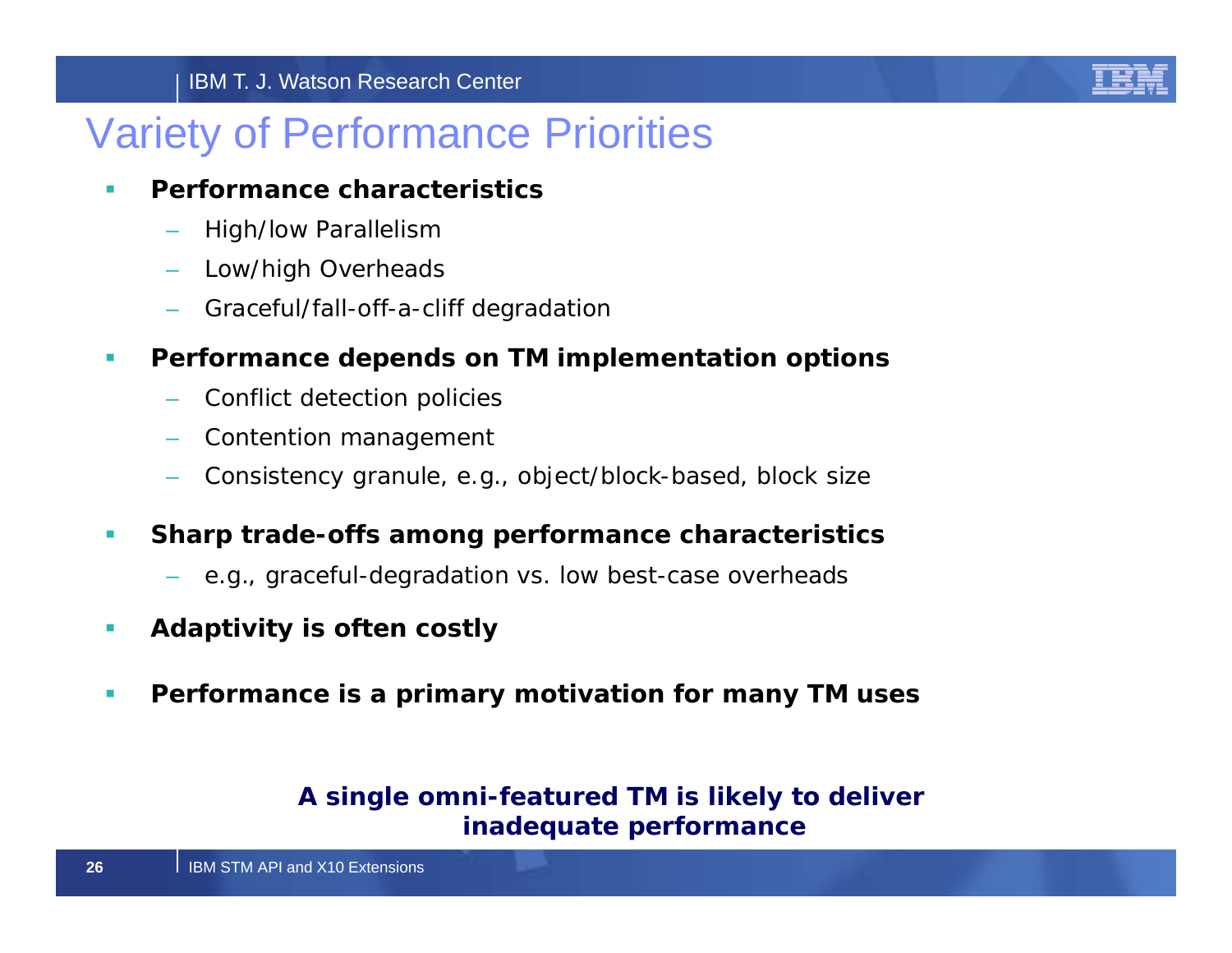## Variety of Performance Priorities

#### $\blacksquare$ **Performance characteristics**

- High/low Parallelism
- Low/high Overheads
- Graceful/fall-off-a-cliff degradation
- $\mathcal{C}$  **Performance depends on TM implementation options**
	- Conflict detection policies
	- Contention management
	- Consistency granule, e.g., object/block-based, block size
- $\mathcal{C}$  **Sharp trade-offs among performance characteristics** 
	- e.g., graceful-degradation vs. low best-case overheads
- $\mathcal{C}$ **Adaptivity is often costly**
- $\mathcal{C}$ **Performance is a primary motivation for many TM uses**

## *A single omni-featured TM is likely to deliver inadequate performance*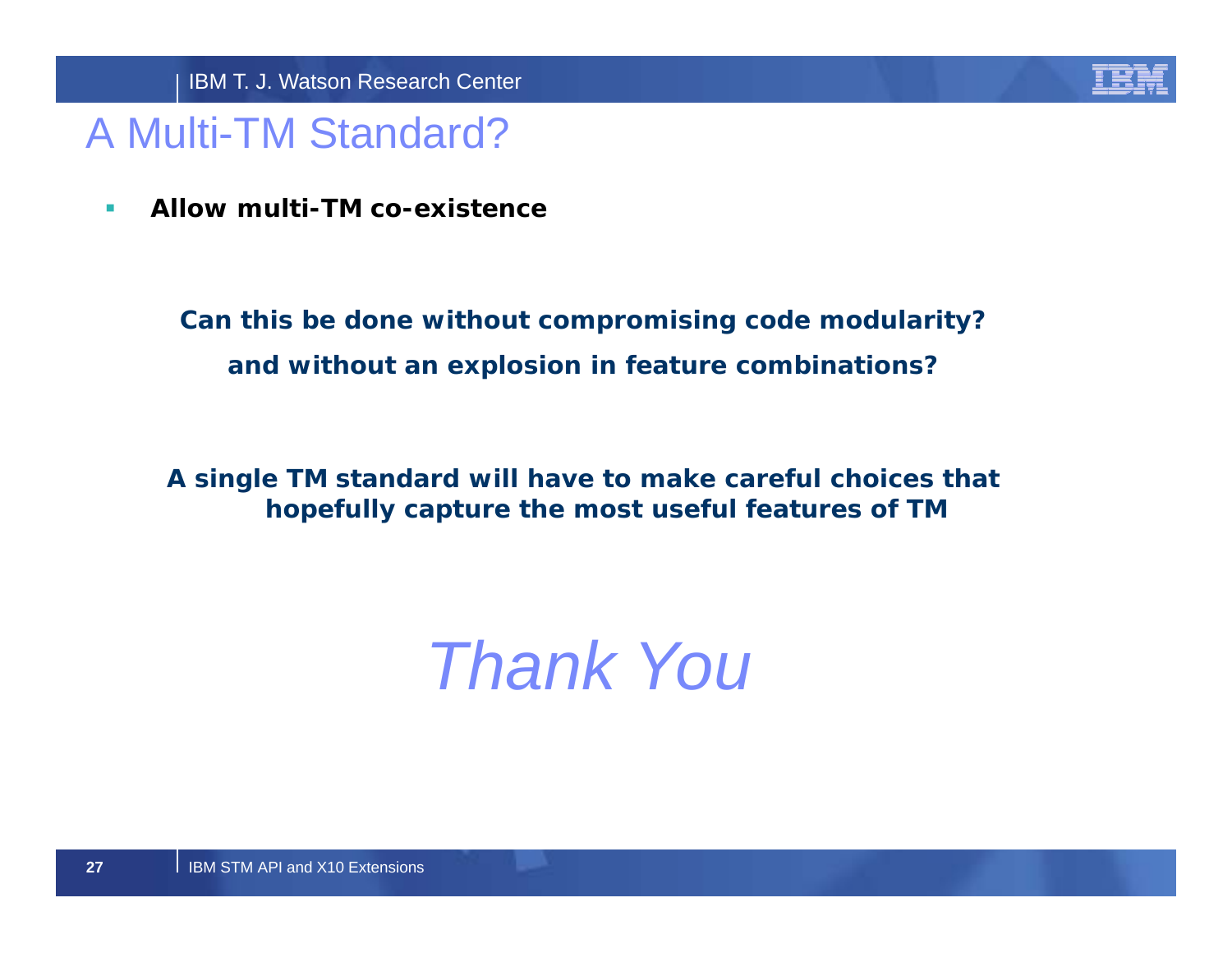

## A Multi-TM Standard?

 $\mathcal{C}$ **Allow multi-TM co-existence**

> *Can this be done without compromising code modularity? and without an explosion in feature combinations?*

*A single TM standard will have to make careful choices that hopefully capture the most useful features of TM*

# *Thank You*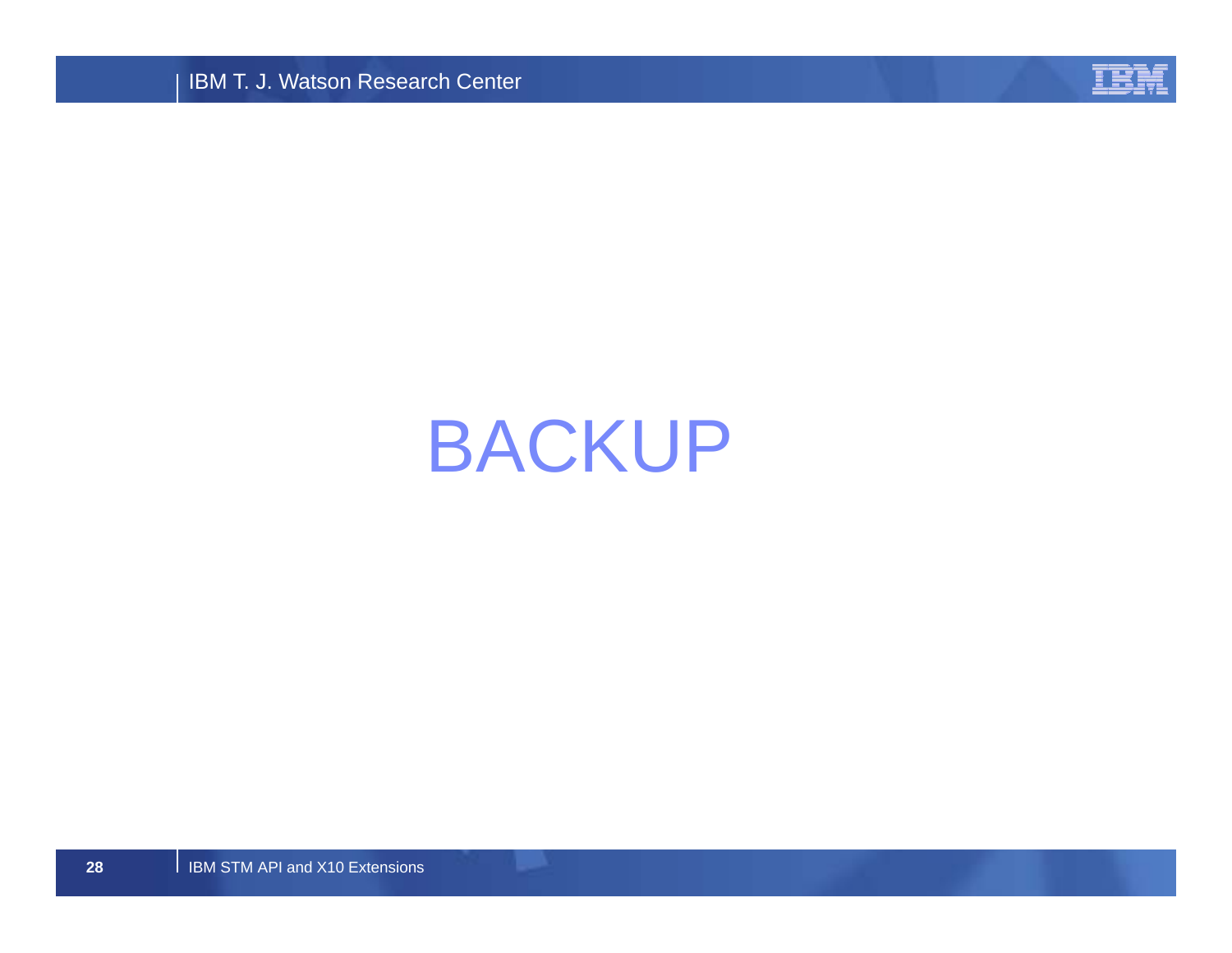IBM T. J. Watson Research Center



# BACKUP

I IBM STM API and X10 Extensions